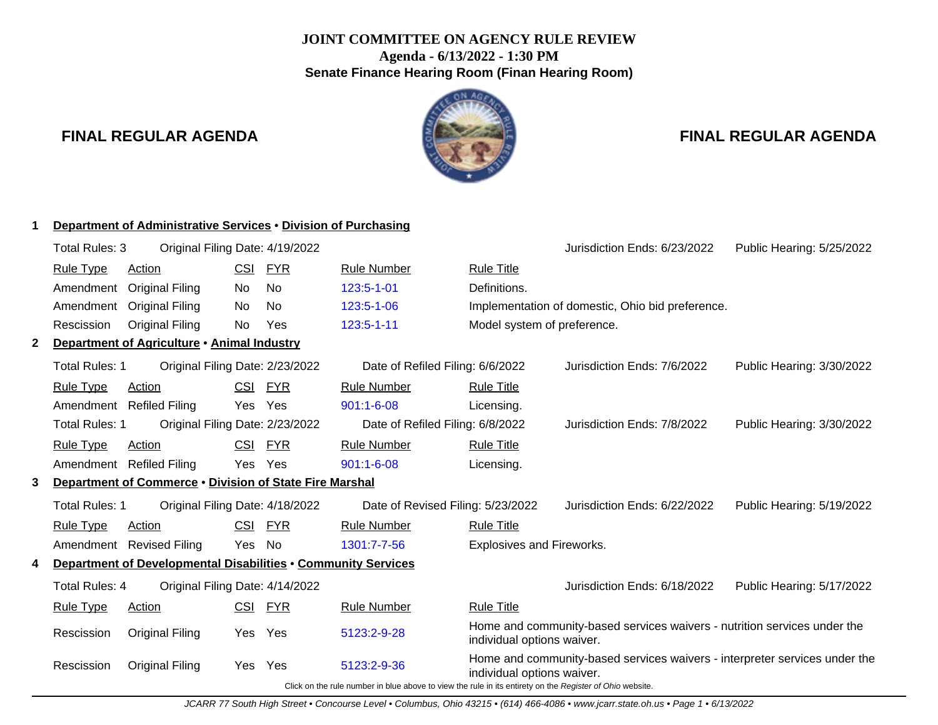## **JOINT COMMITTEE ON AGENCY RULE REVIEW Agenda - 6/13/2022 - 1:30 PM Senate Finance Hearing Room (Finan Hearing Room)**

## **FINAL REGULAR AGENDA FINAL REGULAR AGENDA**



|              |                       | Department of Administrative Services • Division of Purchasing |            |            |                                                                                                          |                                  |                                                                            |                           |
|--------------|-----------------------|----------------------------------------------------------------|------------|------------|----------------------------------------------------------------------------------------------------------|----------------------------------|----------------------------------------------------------------------------|---------------------------|
|              | Total Rules: 3        | Original Filing Date: 4/19/2022                                |            |            |                                                                                                          |                                  | Jurisdiction Ends: 6/23/2022                                               | Public Hearing: 5/25/2022 |
|              | <b>Rule Type</b>      | <b>Action</b>                                                  | CSI        | <u>FYR</u> | <b>Rule Number</b>                                                                                       | <b>Rule Title</b>                |                                                                            |                           |
|              | Amendment             | <b>Original Filing</b>                                         | No.        | <b>No</b>  | 123:5-1-01                                                                                               | Definitions.                     |                                                                            |                           |
|              | Amendment             | <b>Original Filing</b>                                         | No.        | <b>No</b>  | 123:5-1-06                                                                                               |                                  | Implementation of domestic, Ohio bid preference.                           |                           |
|              | Rescission            | <b>Original Filing</b>                                         | No.        | Yes        | 123:5-1-11                                                                                               | Model system of preference.      |                                                                            |                           |
| $\mathbf{2}$ |                       | Department of Agriculture • Animal Industry                    |            |            |                                                                                                          |                                  |                                                                            |                           |
|              | Total Rules: 1        | Original Filing Date: 2/23/2022                                |            |            | Date of Refiled Filing: 6/6/2022                                                                         |                                  | Jurisdiction Ends: 7/6/2022                                                | Public Hearing: 3/30/2022 |
|              | <b>Rule Type</b>      | <b>Action</b>                                                  | <b>CSI</b> | <u>FYR</u> | <b>Rule Number</b>                                                                                       | <b>Rule Title</b>                |                                                                            |                           |
|              | Amendment             | <b>Refiled Filing</b>                                          | Yes        | Yes        | $901:1 - 6 - 08$                                                                                         | Licensing.                       |                                                                            |                           |
|              | <b>Total Rules: 1</b> | Original Filing Date: 2/23/2022                                |            |            | Date of Refiled Filing: 6/8/2022                                                                         |                                  | Jurisdiction Ends: 7/8/2022                                                | Public Hearing: 3/30/2022 |
|              | <b>Rule Type</b>      | Action                                                         | <b>CSI</b> | FYR        | <b>Rule Number</b>                                                                                       | <b>Rule Title</b>                |                                                                            |                           |
|              |                       | Amendment Refiled Filing                                       | Yes        | Yes        | $901:1 - 6 - 08$                                                                                         | Licensing.                       |                                                                            |                           |
| 3.           |                       | Department of Commerce . Division of State Fire Marshal        |            |            |                                                                                                          |                                  |                                                                            |                           |
|              | Total Rules: 1        | Original Filing Date: 4/18/2022                                |            |            | Date of Revised Filing: 5/23/2022                                                                        |                                  | Jurisdiction Ends: 6/22/2022                                               | Public Hearing: 5/19/2022 |
|              | <b>Rule Type</b>      | Action                                                         | <b>CSI</b> | <b>FYR</b> | <b>Rule Number</b>                                                                                       | <b>Rule Title</b>                |                                                                            |                           |
|              |                       | Amendment Revised Filing                                       | Yes        | No         | 1301:7-7-56                                                                                              | <b>Explosives and Fireworks.</b> |                                                                            |                           |
|              |                       | Department of Developmental Disabilities . Community Services  |            |            |                                                                                                          |                                  |                                                                            |                           |
|              | <b>Total Rules: 4</b> | Original Filing Date: 4/14/2022                                |            |            |                                                                                                          |                                  | Jurisdiction Ends: 6/18/2022                                               | Public Hearing: 5/17/2022 |
|              | <b>Rule Type</b>      | Action                                                         | <b>CSI</b> | FYR        | <b>Rule Number</b>                                                                                       | <b>Rule Title</b>                |                                                                            |                           |
|              | Rescission            | <b>Original Filing</b>                                         | Yes        | Yes        | 5123:2-9-28                                                                                              | individual options waiver.       | Home and community-based services waivers - nutrition services under the   |                           |
|              | Rescission            | <b>Original Filing</b>                                         | Yes.       | Yes        | 5123:2-9-36                                                                                              | individual options waiver.       | Home and community-based services waivers - interpreter services under the |                           |
|              |                       |                                                                |            |            | Click on the rule number in blue above to view the rule in its entirety on the Register of Ohio website. |                                  |                                                                            |                           |

JCARR 77 South High Street • Concourse Level • Columbus, Ohio 43215 • (614) 466-4086 • www.jcarr.state.oh.us • Page 1 • 6/13/2022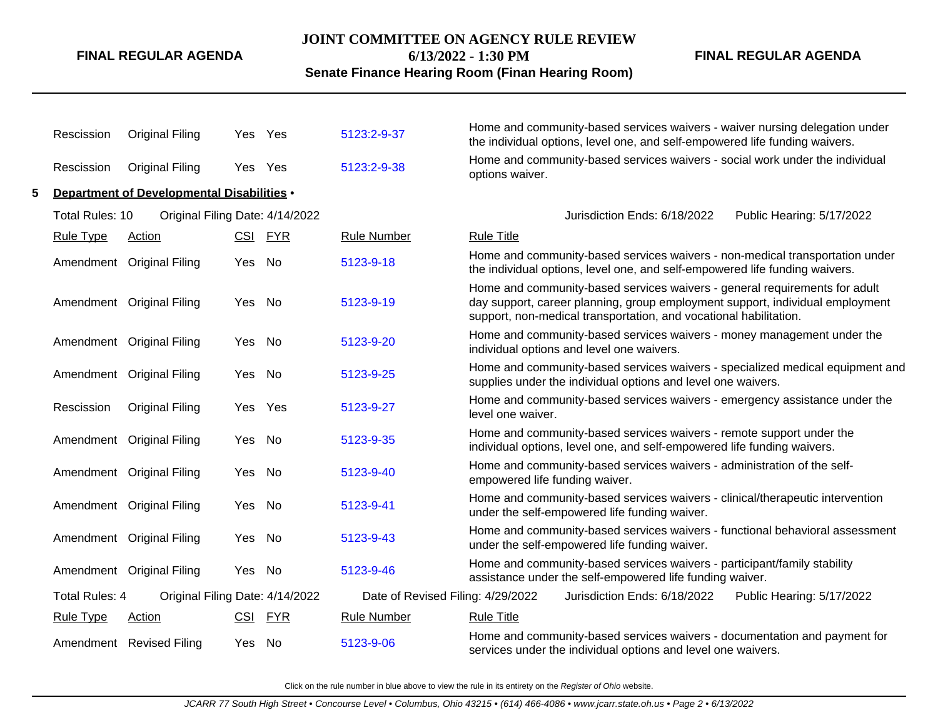#### **JOINT COMMITTEE ON AGENCY RULE REVIEW**

**6/13/2022 - 1:30 PM**

**Senate Finance Hearing Room (Finan Hearing Room)**

**FINAL REGULAR AGENDA**

|   | Rescission            | Original Filing                            |        | Yes Yes | 5123:2-9-37                       | Home and community-based services waivers - waiver nursing delegation under<br>the individual options, level one, and self-empowered life funding waivers.                                                                       |
|---|-----------------------|--------------------------------------------|--------|---------|-----------------------------------|----------------------------------------------------------------------------------------------------------------------------------------------------------------------------------------------------------------------------------|
|   | Rescission            | Original Filing                            | Yes    | Yes     | 5123:2-9-38                       | Home and community-based services waivers - social work under the individual<br>options waiver.                                                                                                                                  |
| 5 |                       | Department of Developmental Disabilities . |        |         |                                   |                                                                                                                                                                                                                                  |
|   | Total Rules: 10       | Original Filing Date: 4/14/2022            |        |         |                                   | Jurisdiction Ends: 6/18/2022<br>Public Hearing: 5/17/2022                                                                                                                                                                        |
|   | <b>Rule Type</b>      | Action                                     |        | CSI FYR | <b>Rule Number</b>                | <b>Rule Title</b>                                                                                                                                                                                                                |
|   |                       | Amendment Original Filing                  | Yes No |         | 5123-9-18                         | Home and community-based services waivers - non-medical transportation under<br>the individual options, level one, and self-empowered life funding waivers.                                                                      |
|   |                       | Amendment Original Filing                  | Yes No |         | 5123-9-19                         | Home and community-based services waivers - general requirements for adult<br>day support, career planning, group employment support, individual employment<br>support, non-medical transportation, and vocational habilitation. |
|   |                       | Amendment Original Filing                  | Yes No |         | 5123-9-20                         | Home and community-based services waivers - money management under the<br>individual options and level one waivers.                                                                                                              |
|   |                       | Amendment Original Filing                  | Yes    | No      | 5123-9-25                         | Home and community-based services waivers - specialized medical equipment and<br>supplies under the individual options and level one waivers.                                                                                    |
|   | Rescission            | <b>Original Filing</b>                     |        | Yes Yes | 5123-9-27                         | Home and community-based services waivers - emergency assistance under the<br>level one waiver.                                                                                                                                  |
|   |                       | Amendment Original Filing                  | Yes    | No      | 5123-9-35                         | Home and community-based services waivers - remote support under the<br>individual options, level one, and self-empowered life funding waivers.                                                                                  |
|   |                       | Amendment Original Filing                  | Yes No |         | 5123-9-40                         | Home and community-based services waivers - administration of the self-<br>empowered life funding waiver.                                                                                                                        |
|   |                       | Amendment Original Filing                  | Yes No |         | 5123-9-41                         | Home and community-based services waivers - clinical/therapeutic intervention<br>under the self-empowered life funding waiver.                                                                                                   |
|   |                       | Amendment Original Filing                  | Yes No |         | 5123-9-43                         | Home and community-based services waivers - functional behavioral assessment<br>under the self-empowered life funding waiver.                                                                                                    |
|   |                       | Amendment Original Filing                  | Yes No |         | 5123-9-46                         | Home and community-based services waivers - participant/family stability<br>assistance under the self-empowered life funding waiver.                                                                                             |
|   | <b>Total Rules: 4</b> | Original Filing Date: 4/14/2022            |        |         | Date of Revised Filing: 4/29/2022 | Jurisdiction Ends: 6/18/2022<br>Public Hearing: 5/17/2022                                                                                                                                                                        |
|   | <b>Rule Type</b>      | <b>Action</b>                              |        | CSI FYR | <b>Rule Number</b>                | <b>Rule Title</b>                                                                                                                                                                                                                |
|   |                       | Amendment Revised Filing                   | Yes No |         | 5123-9-06                         | Home and community-based services waivers - documentation and payment for<br>services under the individual options and level one waivers.                                                                                        |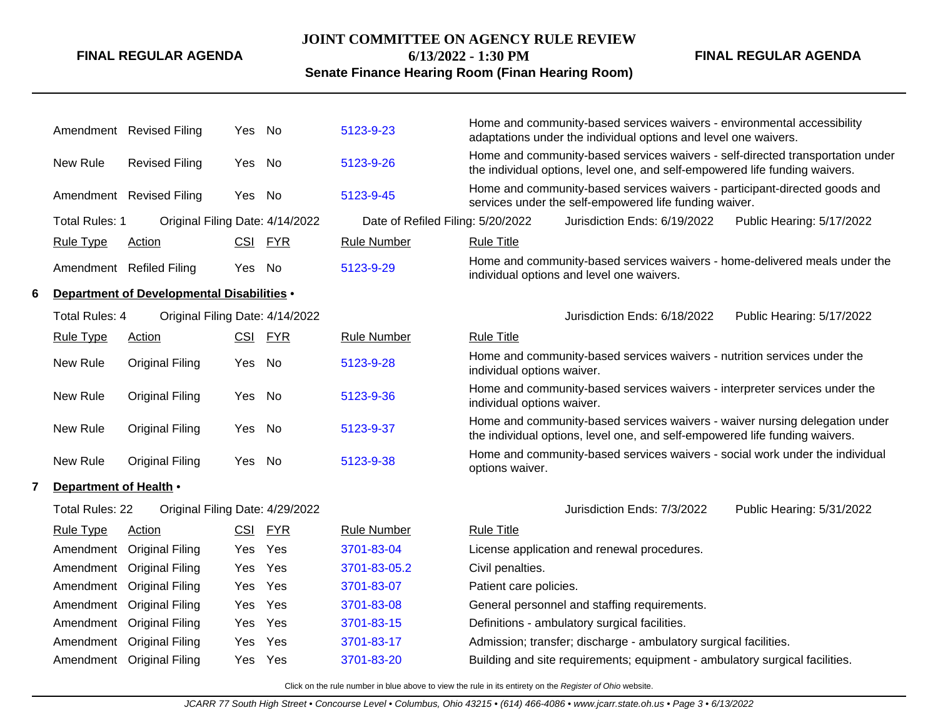#### **JOINT COMMITTEE ON AGENCY RULE REVIEW**

**FINAL REGULAR AGENDA**

**6/13/2022 - 1:30 PM**

**FINAL REGULAR AGENDA**

## **Senate Finance Hearing Room (Finan Hearing Room)**

|   |                        | Amendment Revised Filing                          | Yes    | No         | 5123-9-23                         | Home and community-based services waivers - environmental accessibility<br>adaptations under the individual options and level one waivers.                    |
|---|------------------------|---------------------------------------------------|--------|------------|-----------------------------------|---------------------------------------------------------------------------------------------------------------------------------------------------------------|
|   | New Rule               | <b>Revised Filing</b>                             | Yes    | No         | 5123-9-26                         | Home and community-based services waivers - self-directed transportation under<br>the individual options, level one, and self-empowered life funding waivers. |
|   |                        | Amendment Revised Filing                          | Yes No |            | 5123-9-45                         | Home and community-based services waivers - participant-directed goods and<br>services under the self-empowered life funding waiver.                          |
|   | <b>Total Rules: 1</b>  | Original Filing Date: 4/14/2022                   |        |            | Date of Refiled Filing: 5/20/2022 | Jurisdiction Ends: 6/19/2022<br>Public Hearing: 5/17/2022                                                                                                     |
|   | <b>Rule Type</b>       | Action                                            |        | CSI FYR    | <b>Rule Number</b>                | <b>Rule Title</b>                                                                                                                                             |
|   |                        | Amendment Refiled Filing                          | Yes    | No         | 5123-9-29                         | Home and community-based services waivers - home-delivered meals under the<br>individual options and level one waivers.                                       |
| 6 |                        | <b>Department of Developmental Disabilities •</b> |        |            |                                   |                                                                                                                                                               |
|   | Total Rules: 4         | Original Filing Date: 4/14/2022                   |        |            |                                   | Jurisdiction Ends: 6/18/2022<br>Public Hearing: 5/17/2022                                                                                                     |
|   | <b>Rule Type</b>       | <b>Action</b>                                     |        | CSI FYR    | <b>Rule Number</b>                | <b>Rule Title</b>                                                                                                                                             |
|   | New Rule               | <b>Original Filing</b>                            | Yes    | No         | 5123-9-28                         | Home and community-based services waivers - nutrition services under the<br>individual options waiver.                                                        |
|   | New Rule               | <b>Original Filing</b>                            | Yes    | No         | 5123-9-36                         | Home and community-based services waivers - interpreter services under the<br>individual options waiver.                                                      |
|   | New Rule               | <b>Original Filing</b>                            | Yes    | No         | 5123-9-37                         | Home and community-based services waivers - waiver nursing delegation under<br>the individual options, level one, and self-empowered life funding waivers.    |
|   | New Rule               | <b>Original Filing</b>                            | Yes    | No         | 5123-9-38                         | Home and community-based services waivers - social work under the individual<br>options waiver.                                                               |
| 7 | Department of Health • |                                                   |        |            |                                   |                                                                                                                                                               |
|   | <b>Total Rules: 22</b> | Original Filing Date: 4/29/2022                   |        |            |                                   | Jurisdiction Ends: 7/3/2022<br>Public Hearing: 5/31/2022                                                                                                      |
|   | <b>Rule Type</b>       | Action                                            | CSI    | <b>FYR</b> | <b>Rule Number</b>                | <b>Rule Title</b>                                                                                                                                             |
|   | Amendment              | <b>Original Filing</b>                            | Yes    | Yes        | 3701-83-04                        | License application and renewal procedures.                                                                                                                   |
|   | Amendment              | <b>Original Filing</b>                            | Yes    | Yes        | 3701-83-05.2                      | Civil penalties.                                                                                                                                              |
|   | Amendment              | <b>Original Filing</b>                            | Yes    | Yes        | 3701-83-07                        | Patient care policies.                                                                                                                                        |
|   | Amendment              | <b>Original Filing</b>                            | Yes    | Yes        | 3701-83-08                        | General personnel and staffing requirements.                                                                                                                  |
|   | Amendment              | <b>Original Filing</b>                            | Yes    | Yes        | 3701-83-15                        | Definitions - ambulatory surgical facilities.                                                                                                                 |
|   | Amendment              | <b>Original Filing</b>                            | Yes    | Yes        | 3701-83-17                        | Admission; transfer; discharge - ambulatory surgical facilities.                                                                                              |
|   |                        | Amendment Original Filing                         | Yes    | Yes        | 3701-83-20                        | Building and site requirements; equipment - ambulatory surgical facilities.                                                                                   |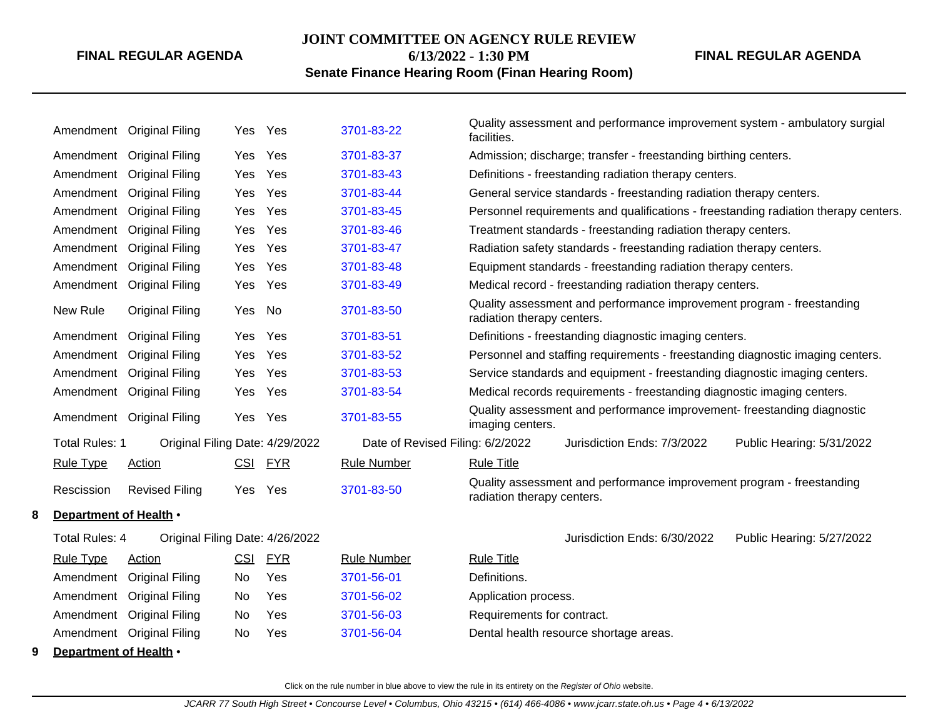#### **JOINT COMMITTEE ON AGENCY RULE REVIEW**

**6/13/2022 - 1:30 PM**

## **FINAL REGULAR AGENDA**

## **Senate Finance Hearing Room (Finan Hearing Room)**

|   |                        | Amendment Original Filing | Yes        | Yes                             | 3701-83-22                       | facilities.                | Quality assessment and performance improvement system - ambulatory surgial     |                                                                                     |
|---|------------------------|---------------------------|------------|---------------------------------|----------------------------------|----------------------------|--------------------------------------------------------------------------------|-------------------------------------------------------------------------------------|
|   |                        | Amendment Original Filing | Yes        | Yes                             | 3701-83-37                       |                            | Admission; discharge; transfer - freestanding birthing centers.                |                                                                                     |
|   |                        | Amendment Original Filing | <b>Yes</b> | Yes                             | 3701-83-43                       |                            | Definitions - freestanding radiation therapy centers.                          |                                                                                     |
|   |                        | Amendment Original Filing | Yes        | Yes                             | 3701-83-44                       |                            | General service standards - freestanding radiation therapy centers.            |                                                                                     |
|   |                        | Amendment Original Filing | Yes        | Yes                             | 3701-83-45                       |                            |                                                                                | Personnel requirements and qualifications - freestanding radiation therapy centers. |
|   |                        | Amendment Original Filing | Yes        | Yes                             | 3701-83-46                       |                            | Treatment standards - freestanding radiation therapy centers.                  |                                                                                     |
|   |                        | Amendment Original Filing | Yes        | Yes                             | 3701-83-47                       |                            | Radiation safety standards - freestanding radiation therapy centers.           |                                                                                     |
|   |                        | Amendment Original Filing | Yes        | Yes                             | 3701-83-48                       |                            | Equipment standards - freestanding radiation therapy centers.                  |                                                                                     |
|   |                        | Amendment Original Filing | Yes        | Yes                             | 3701-83-49                       |                            | Medical record - freestanding radiation therapy centers.                       |                                                                                     |
|   | New Rule               | <b>Original Filing</b>    | Yes No     |                                 | 3701-83-50                       | radiation therapy centers. | Quality assessment and performance improvement program - freestanding          |                                                                                     |
|   |                        | Amendment Original Filing | Yes        | Yes                             | 3701-83-51                       |                            | Definitions - freestanding diagnostic imaging centers.                         |                                                                                     |
|   |                        | Amendment Original Filing | Yes        | Yes                             | 3701-83-52                       |                            | Personnel and staffing requirements - freestanding diagnostic imaging centers. |                                                                                     |
|   |                        | Amendment Original Filing | Yes        | Yes                             | 3701-83-53                       |                            | Service standards and equipment - freestanding diagnostic imaging centers.     |                                                                                     |
|   |                        | Amendment Original Filing | Yes        | Yes                             | 3701-83-54                       |                            | Medical records requirements - freestanding diagnostic imaging centers.        |                                                                                     |
|   |                        | Amendment Original Filing | Yes        | Yes                             | 3701-83-55                       | imaging centers.           | Quality assessment and performance improvement- freestanding diagnostic        |                                                                                     |
|   | <b>Total Rules: 1</b>  |                           |            | Original Filing Date: 4/29/2022 | Date of Revised Filing: 6/2/2022 |                            | Jurisdiction Ends: 7/3/2022                                                    | Public Hearing: 5/31/2022                                                           |
|   | <b>Rule Type</b>       | <b>Action</b>             | <u>CSI</u> | <u>FYR</u>                      | <b>Rule Number</b>               | <b>Rule Title</b>          |                                                                                |                                                                                     |
|   | Rescission             | <b>Revised Filing</b>     | Yes        | Yes                             | 3701-83-50                       | radiation therapy centers. | Quality assessment and performance improvement program - freestanding          |                                                                                     |
| 8 | Department of Health . |                           |            |                                 |                                  |                            |                                                                                |                                                                                     |
|   | Total Rules: 4         |                           |            | Original Filing Date: 4/26/2022 |                                  |                            | Jurisdiction Ends: 6/30/2022                                                   | Public Hearing: 5/27/2022                                                           |
|   | <b>Rule Type</b>       | Action                    | CSI        | <b>FYR</b>                      | <b>Rule Number</b>               | <b>Rule Title</b>          |                                                                                |                                                                                     |
|   |                        | Amendment Original Filing | No         | Yes                             | 3701-56-01                       | Definitions.               |                                                                                |                                                                                     |
|   |                        | Amendment Original Filing | No         | Yes                             | 3701-56-02                       | Application process.       |                                                                                |                                                                                     |
|   |                        | Amendment Original Filing | No.        | Yes                             | 3701-56-03                       | Requirements for contract. |                                                                                |                                                                                     |
|   |                        | Amendment Original Filing | No         | Yes                             | 3701-56-04                       |                            | Dental health resource shortage areas.                                         |                                                                                     |
| 9 | Department of Health • |                           |            |                                 |                                  |                            |                                                                                |                                                                                     |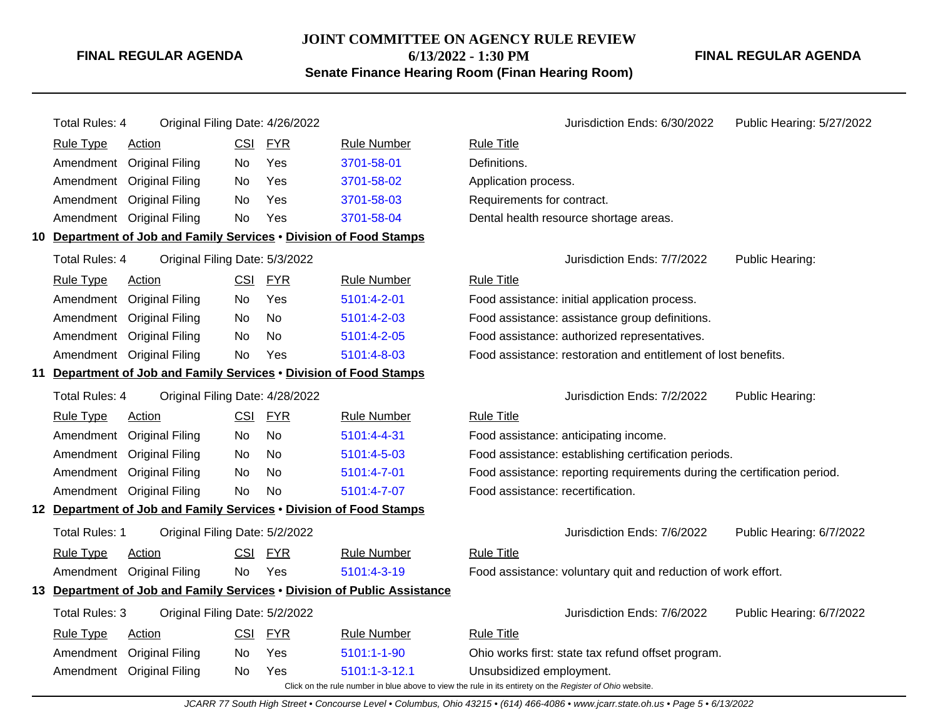#### **JOINT COMMITTEE ON AGENCY RULE REVIEW 6/13/2022 - 1:30 PM**

**Senate Finance Hearing Room (Finan Hearing Room)**

**FINAL REGULAR AGENDA**

Total Rules: 4 Original Filing Date: 4/26/2022 <br>Jurisdiction Ends: 6/30/2022 Public Hearing: 5/27/2022 Rule Type Action **CSI FYR** Rule Number Rule Title Amendment Original Filing No Yes [3701-58-01](http://www.registerofohio.state.oh.us/jsps/publicdisplayrules/processPublicDisplayRules.jsp?entered_rule_no=3701-58-01&doWhat=GETBYRULENUM&raID=0) Definitions. Amendment Original Filing No Yes [3701-58-02](http://www.registerofohio.state.oh.us/jsps/publicdisplayrules/processPublicDisplayRules.jsp?entered_rule_no=3701-58-02&doWhat=GETBYRULENUM&raID=0) Application process. Amendment Original Filing No Yes [3701-58-03](http://www.registerofohio.state.oh.us/jsps/publicdisplayrules/processPublicDisplayRules.jsp?entered_rule_no=3701-58-03&doWhat=GETBYRULENUM&raID=0) Requirements for contract. Amendment Original Filing No Yes [3701-58-04](http://www.registerofohio.state.oh.us/jsps/publicdisplayrules/processPublicDisplayRules.jsp?entered_rule_no=3701-58-04&doWhat=GETBYRULENUM&raID=0) Dental health resource shortage areas. **10 Department of Job and Family Services** • **Division of Food Stamps** Total Rules: 4 Original Filing Date: 5/3/2022 **Contact Contact Accord Public Heart Contact Public Heart Contact Public Hearing:** Rule Type Action CSI FYR Rule Number Rule Title Amendment Original Filing No Yes [5101:4-2-01](http://www.registerofohio.state.oh.us/jsps/publicdisplayrules/processPublicDisplayRules.jsp?entered_rule_no=5101:4-2-01&doWhat=GETBYRULENUM&raID=0) Food assistance: initial application process. Amendment Original Filing No No [5101:4-2-03](http://www.registerofohio.state.oh.us/jsps/publicdisplayrules/processPublicDisplayRules.jsp?entered_rule_no=5101:4-2-03&doWhat=GETBYRULENUM&raID=0) Food assistance: assistance group definitions. Amendment Original Filing No No [5101:4-2-05](http://www.registerofohio.state.oh.us/jsps/publicdisplayrules/processPublicDisplayRules.jsp?entered_rule_no=5101:4-2-05&doWhat=GETBYRULENUM&raID=0) Food assistance: authorized representatives. Amendment Original Filing No Yes [5101:4-8-03](http://www.registerofohio.state.oh.us/jsps/publicdisplayrules/processPublicDisplayRules.jsp?entered_rule_no=5101:4-8-03&doWhat=GETBYRULENUM&raID=0) Food assistance: restoration and entitlement of lost benefits. **11 Department of Job and Family Services** • **Division of Food Stamps** Total Rules: 4 Original Filing Date: 4/28/2022 **Jurisdiction Ends: 7/2/2022** Public Hearing: Rule Type Action **CSI FYR** Rule Number Rule Title Amendment Original Filing No No [5101:4-4-31](http://www.registerofohio.state.oh.us/jsps/publicdisplayrules/processPublicDisplayRules.jsp?entered_rule_no=5101:4-4-31&doWhat=GETBYRULENUM&raID=0) Food assistance: anticipating income. Amendment Original Filing No No [5101:4-5-03](http://www.registerofohio.state.oh.us/jsps/publicdisplayrules/processPublicDisplayRules.jsp?entered_rule_no=5101:4-5-03&doWhat=GETBYRULENUM&raID=0) Food assistance: establishing certification periods. Amendment Original Filing No No [5101:4-7-01](http://www.registerofohio.state.oh.us/jsps/publicdisplayrules/processPublicDisplayRules.jsp?entered_rule_no=5101:4-7-01&doWhat=GETBYRULENUM&raID=0) Food assistance: reporting requirements during the certification period. Amendment Original Filing No No [5101:4-7-07](http://www.registerofohio.state.oh.us/jsps/publicdisplayrules/processPublicDisplayRules.jsp?entered_rule_no=5101:4-7-07&doWhat=GETBYRULENUM&raID=0) Food assistance: recertification. **12 Department of Job and Family Services** • **Division of Food Stamps** Total Rules: 1 Original Filing Date: 5/2/2022 Jurisdiction Ends: 7/6/2022 Public Hearing: 6/7/2022 Rule Type Action CSI FYR Rule Number Rule Title Amendment Original Filing No Yes [5101:4-3-19](http://www.registerofohio.state.oh.us/jsps/publicdisplayrules/processPublicDisplayRules.jsp?entered_rule_no=5101:4-3-19&doWhat=GETBYRULENUM&raID=0) Food assistance: voluntary quit and reduction of work effort. **13 Department of Job and Family Services** • **Division of Public Assistance** Total Rules: 3 Original Filing Date: 5/2/2022 Jurisdiction Ends: 7/6/2022 Public Hearing: 6/7/2022 Rule Type Action **CSI FYR** Rule Number Rule Title Amendment Original Filing No Yes [5101:1-1-90](http://www.registerofohio.state.oh.us/jsps/publicdisplayrules/processPublicDisplayRules.jsp?entered_rule_no=5101:1-1-90&doWhat=GETBYRULENUM&raID=0) Ohio works first: state tax refund offset program. Amendment Original Filing No Yes [5101:1-3-12.1](http://www.registerofohio.state.oh.us/jsps/publicdisplayrules/processPublicDisplayRules.jsp?entered_rule_no=5101:1-3-12.1&doWhat=GETBYRULENUM&raID=0) Unsubsidized employment.

Click on the rule number in blue above to view the rule in its entirety on the Register of Ohio website.

JCARR 77 South High Street • Concourse Level • Columbus, Ohio 43215 • (614) 466-4086 • www.jcarr.state.oh.us • Page 5 • 6/13/2022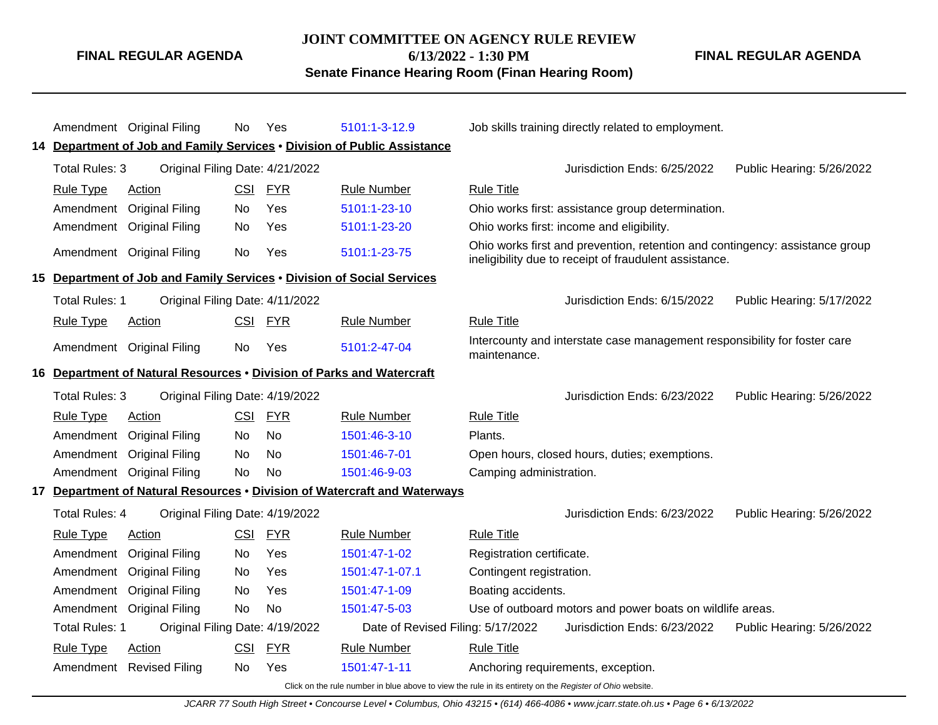#### **JOINT COMMITTEE ON AGENCY RULE REVIEW**

**6/13/2022 - 1:30 PM**

**Senate Finance Hearing Room (Finan Hearing Room)**

Amendment Original Filing No Yes [5101:1-3-12.9](http://www.registerofohio.state.oh.us/jsps/publicdisplayrules/processPublicDisplayRules.jsp?entered_rule_no=5101:1-3-12.9&doWhat=GETBYRULENUM&raID=0) Job skills training directly related to employment. **14 Department of Job and Family Services** • **Division of Public Assistance** Total Rules: 3 Original Filing Date: 4/21/2022 Jurisdiction Ends: 6/25/2022 Public Hearing: 5/26/2022 Rule Type Action CSI FYR Rule Number Rule Title Amendment Original Filing No Yes [5101:1-23-10](http://www.registerofohio.state.oh.us/jsps/publicdisplayrules/processPublicDisplayRules.jsp?entered_rule_no=5101:1-23-10&doWhat=GETBYRULENUM&raID=0) Ohio works first: assistance group determination. Amendment Original Filing No Yes [5101:1-23-20](http://www.registerofohio.state.oh.us/jsps/publicdisplayrules/processPublicDisplayRules.jsp?entered_rule_no=5101:1-23-20&doWhat=GETBYRULENUM&raID=0) Ohio works first: income and eligibility. Amendment Original Filing No Yes [5101:1-23-75](http://www.registerofohio.state.oh.us/jsps/publicdisplayrules/processPublicDisplayRules.jsp?entered_rule_no=5101:1-23-75&doWhat=GETBYRULENUM&raID=0) Ohio works first and prevention, retention and contingency: assistance group ineligibility due to receipt of fraudulent assistance. **15 Department of Job and Family Services** • **Division of Social Services** Total Rules: 1 Original Filing Date: 4/11/2022 **Jurisdiction Ends: 6/15/2022** Public Hearing: 5/17/2022 Rule Type Action **CSI FYR** Rule Number Rule Title Amendment Original Filing No Yes [5101:2-47-04](http://www.registerofohio.state.oh.us/jsps/publicdisplayrules/processPublicDisplayRules.jsp?entered_rule_no=5101:2-47-04&doWhat=GETBYRULENUM&raID=0) Intercounty and interstate case management responsibility for foster care maintenance. **16 Department of Natural Resources** • **Division of Parks and Watercraft** Total Rules: 3 Original Filing Date: 4/19/2022 **Jurisdiction Ends: 6/23/2022** Public Hearing: 5/26/2022 Rule Type Action CSI FYR Rule Number Rule Title Amendment Original Filing No No [1501:46-3-10](http://www.registerofohio.state.oh.us/jsps/publicdisplayrules/processPublicDisplayRules.jsp?entered_rule_no=1501:46-3-10&doWhat=GETBYRULENUM&raID=0) Plants. Amendment Original Filing No No [1501:46-7-01](http://www.registerofohio.state.oh.us/jsps/publicdisplayrules/processPublicDisplayRules.jsp?entered_rule_no=1501:46-7-01&doWhat=GETBYRULENUM&raID=0) Open hours, closed hours, duties; exemptions. Amendment Original Filing No No [1501:46-9-03](http://www.registerofohio.state.oh.us/jsps/publicdisplayrules/processPublicDisplayRules.jsp?entered_rule_no=1501:46-9-03&doWhat=GETBYRULENUM&raID=0) Camping administration. **17 Department of Natural Resources** • **Division of Watercraft and Waterways** Total Rules: 4 Original Filing Date: 4/19/2022 Jurisdiction Ends: 6/23/2022 Public Hearing: 5/26/2022 Rule Type Action **CSI FYR** Rule Number Rule Title Amendment Original Filing No Yes [1501:47-1-02](http://www.registerofohio.state.oh.us/jsps/publicdisplayrules/processPublicDisplayRules.jsp?entered_rule_no=1501:47-1-02&doWhat=GETBYRULENUM&raID=0) Registration certificate. Amendment Original Filing No Yes [1501:47-1-07.1](http://www.registerofohio.state.oh.us/jsps/publicdisplayrules/processPublicDisplayRules.jsp?entered_rule_no=1501:47-1-07.1&doWhat=GETBYRULENUM&raID=0) Contingent registration. Amendment Original Filing No Yes [1501:47-1-09](http://www.registerofohio.state.oh.us/jsps/publicdisplayrules/processPublicDisplayRules.jsp?entered_rule_no=1501:47-1-09&doWhat=GETBYRULENUM&raID=0) Boating accidents. Amendment Original Filing No No [1501:47-5-03](http://www.registerofohio.state.oh.us/jsps/publicdisplayrules/processPublicDisplayRules.jsp?entered_rule_no=1501:47-5-03&doWhat=GETBYRULENUM&raID=0) Use of outboard motors and power boats on wildlife areas. Total Rules: 1 Original Filing Date: 4/19/2022 Date of Revised Filing: 5/17/2022 Jurisdiction Ends: 6/23/2022 Public Hearing: 5/26/2022 Rule Type Action **CSI FYR** Rule Number Rule Title Amendment Revised Filing No Yes [1501:47-1-11](http://www.registerofohio.state.oh.us/jsps/publicdisplayrules/processPublicDisplayRules.jsp?entered_rule_no=1501:47-1-11&doWhat=GETBYRULENUM&raID=0) Anchoring requirements, exception.

Click on the rule number in blue above to view the rule in its entirety on the Register of Ohio website.

**FINAL REGULAR AGENDA**

**FINAL REGULAR AGENDA**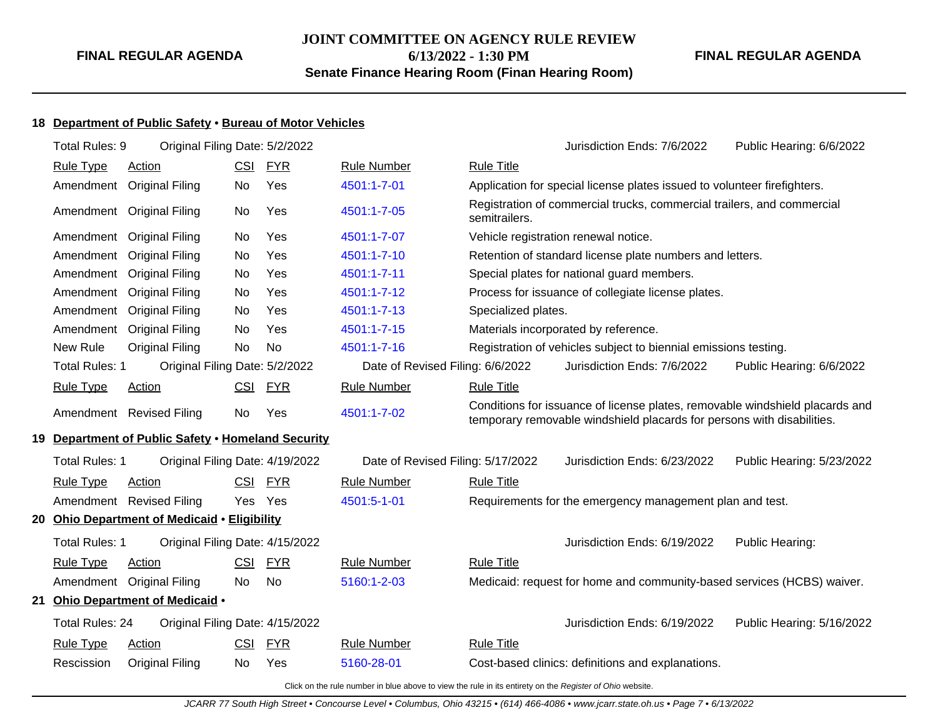## **JOINT COMMITTEE ON AGENCY RULE REVIEW 6/13/2022 - 1:30 PM Senate Finance Hearing Room (Finan Hearing Room)**

**FINAL REGULAR AGENDA**

## **18 Department of Public Safety** • **Bureau of Motor Vehicles**

| Total Rules: 9         | Original Filing Date: 5/2/2022                     |            |            |                                                                                                          |                     | Jurisdiction Ends: 7/6/2022                                                                                                                            | Public Hearing: 6/6/2022  |
|------------------------|----------------------------------------------------|------------|------------|----------------------------------------------------------------------------------------------------------|---------------------|--------------------------------------------------------------------------------------------------------------------------------------------------------|---------------------------|
| <b>Rule Type</b>       | <b>Action</b>                                      | <u>CSI</u> | <u>FYR</u> | <b>Rule Number</b>                                                                                       | <b>Rule Title</b>   |                                                                                                                                                        |                           |
| Amendment              | <b>Original Filing</b>                             | No         | Yes        | 4501:1-7-01                                                                                              |                     | Application for special license plates issued to volunteer firefighters.                                                                               |                           |
|                        | Amendment Original Filing                          | No         | Yes        | 4501:1-7-05                                                                                              | semitrailers.       | Registration of commercial trucks, commercial trailers, and commercial                                                                                 |                           |
|                        | Amendment Original Filing                          | No         | Yes        | 4501:1-7-07                                                                                              |                     | Vehicle registration renewal notice.                                                                                                                   |                           |
| Amendment              | <b>Original Filing</b>                             | <b>No</b>  | Yes        | 4501:1-7-10                                                                                              |                     | Retention of standard license plate numbers and letters.                                                                                               |                           |
| Amendment              | <b>Original Filing</b>                             | No         | Yes        | 4501:1-7-11                                                                                              |                     | Special plates for national guard members.                                                                                                             |                           |
| Amendment              | <b>Original Filing</b>                             | No         | Yes        | 4501:1-7-12                                                                                              |                     | Process for issuance of collegiate license plates.                                                                                                     |                           |
| Amendment              | <b>Original Filing</b>                             | <b>No</b>  | Yes        | 4501:1-7-13                                                                                              | Specialized plates. |                                                                                                                                                        |                           |
| Amendment              | <b>Original Filing</b>                             | No         | Yes        | 4501:1-7-15                                                                                              |                     | Materials incorporated by reference.                                                                                                                   |                           |
| New Rule               | <b>Original Filing</b>                             | No         | No         | 4501:1-7-16                                                                                              |                     | Registration of vehicles subject to biennial emissions testing.                                                                                        |                           |
| <b>Total Rules: 1</b>  | Original Filing Date: 5/2/2022                     |            |            | Date of Revised Filing: 6/6/2022                                                                         |                     | Jurisdiction Ends: 7/6/2022                                                                                                                            | Public Hearing: 6/6/2022  |
| <b>Rule Type</b>       | Action                                             |            | CSI FYR    | <b>Rule Number</b>                                                                                       | <b>Rule Title</b>   |                                                                                                                                                        |                           |
|                        | Amendment Revised Filing                           | <b>No</b>  | Yes        | 4501:1-7-02                                                                                              |                     | Conditions for issuance of license plates, removable windshield placards and<br>temporary removable windshield placards for persons with disabilities. |                           |
|                        | 19 Department of Public Safety . Homeland Security |            |            |                                                                                                          |                     |                                                                                                                                                        |                           |
| <b>Total Rules: 1</b>  | Original Filing Date: 4/19/2022                    |            |            | Date of Revised Filing: 5/17/2022                                                                        |                     | Jurisdiction Ends: 6/23/2022                                                                                                                           | Public Hearing: 5/23/2022 |
| <b>Rule Type</b>       | Action                                             |            | CSI FYR    | <b>Rule Number</b>                                                                                       | <b>Rule Title</b>   |                                                                                                                                                        |                           |
|                        | Amendment Revised Filing                           | Yes Yes    |            | 4501:5-1-01                                                                                              |                     | Requirements for the emergency management plan and test.                                                                                               |                           |
|                        | 20 Ohio Department of Medicaid . Eligibility       |            |            |                                                                                                          |                     |                                                                                                                                                        |                           |
| <b>Total Rules: 1</b>  | Original Filing Date: 4/15/2022                    |            |            |                                                                                                          |                     | Jurisdiction Ends: 6/19/2022                                                                                                                           | Public Hearing:           |
| <b>Rule Type</b>       | <b>Action</b>                                      | <u>CSI</u> | <u>FYR</u> | <b>Rule Number</b>                                                                                       | <b>Rule Title</b>   |                                                                                                                                                        |                           |
|                        | Amendment Original Filing                          | <b>No</b>  | <b>No</b>  | 5160:1-2-03                                                                                              |                     | Medicaid: request for home and community-based services (HCBS) waiver.                                                                                 |                           |
|                        | 21 Ohio Department of Medicaid .                   |            |            |                                                                                                          |                     |                                                                                                                                                        |                           |
| <b>Total Rules: 24</b> | Original Filing Date: 4/15/2022                    |            |            |                                                                                                          |                     | Jurisdiction Ends: 6/19/2022                                                                                                                           | Public Hearing: 5/16/2022 |
| <b>Rule Type</b>       | <b>Action</b>                                      | <u>CSI</u> | <b>FYR</b> | <b>Rule Number</b>                                                                                       | <b>Rule Title</b>   |                                                                                                                                                        |                           |
| Rescission             | <b>Original Filing</b>                             | <b>No</b>  | Yes        | 5160-28-01                                                                                               |                     | Cost-based clinics: definitions and explanations.                                                                                                      |                           |
|                        |                                                    |            |            | Click on the rule number in blue above to view the rule in its entirety on the Register of Ohio website. |                     |                                                                                                                                                        |                           |

JCARR 77 South High Street • Concourse Level • Columbus, Ohio 43215 • (614) 466-4086 • www.jcarr.state.oh.us • Page 7 • 6/13/2022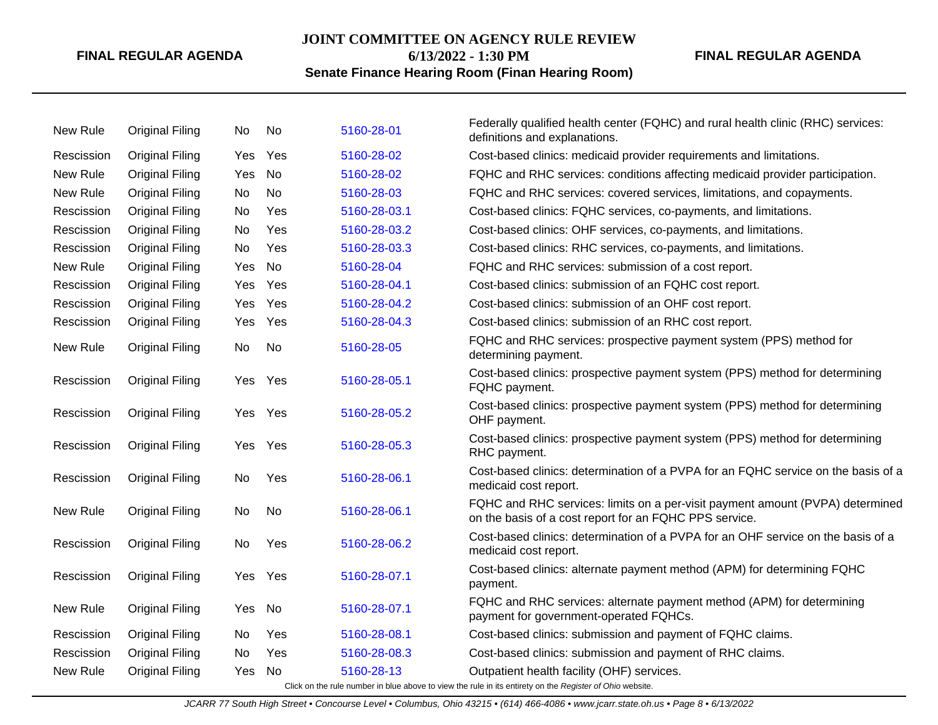## **JOINT COMMITTEE ON AGENCY RULE REVIEW**

**6/13/2022 - 1:30 PM**

## **FINAL REGULAR AGENDA**

## **Senate Finance Hearing Room (Finan Hearing Room)**

| New Rule   | <b>Original Filing</b> | No.        | No  | 5160-28-01   | Federally qualified health center (FQHC) and rural health clinic (RHC) services:<br>definitions and explanations.                       |
|------------|------------------------|------------|-----|--------------|-----------------------------------------------------------------------------------------------------------------------------------------|
| Rescission | <b>Original Filing</b> | <b>Yes</b> | Yes | 5160-28-02   | Cost-based clinics: medicaid provider requirements and limitations.                                                                     |
| New Rule   | <b>Original Filing</b> | Yes        | No  | 5160-28-02   | FQHC and RHC services: conditions affecting medicaid provider participation.                                                            |
| New Rule   | <b>Original Filing</b> | No.        | No  | 5160-28-03   | FQHC and RHC services: covered services, limitations, and copayments.                                                                   |
| Rescission | <b>Original Filing</b> | No         | Yes | 5160-28-03.1 | Cost-based clinics: FQHC services, co-payments, and limitations.                                                                        |
| Rescission | <b>Original Filing</b> | No         | Yes | 5160-28-03.2 | Cost-based clinics: OHF services, co-payments, and limitations.                                                                         |
| Rescission | <b>Original Filing</b> | No         | Yes | 5160-28-03.3 | Cost-based clinics: RHC services, co-payments, and limitations.                                                                         |
| New Rule   | <b>Original Filing</b> | Yes        | No  | 5160-28-04   | FQHC and RHC services: submission of a cost report.                                                                                     |
| Rescission | <b>Original Filing</b> | Yes        | Yes | 5160-28-04.1 | Cost-based clinics: submission of an FQHC cost report.                                                                                  |
| Rescission | <b>Original Filing</b> | Yes        | Yes | 5160-28-04.2 | Cost-based clinics: submission of an OHF cost report.                                                                                   |
| Rescission | <b>Original Filing</b> | Yes        | Yes | 5160-28-04.3 | Cost-based clinics: submission of an RHC cost report.                                                                                   |
| New Rule   | <b>Original Filing</b> | No         | No  | 5160-28-05   | FQHC and RHC services: prospective payment system (PPS) method for<br>determining payment.                                              |
| Rescission | <b>Original Filing</b> | Yes        | Yes | 5160-28-05.1 | Cost-based clinics: prospective payment system (PPS) method for determining<br>FQHC payment.                                            |
| Rescission | <b>Original Filing</b> | Yes.       | Yes | 5160-28-05.2 | Cost-based clinics: prospective payment system (PPS) method for determining<br>OHF payment.                                             |
| Rescission | <b>Original Filing</b> | Yes.       | Yes | 5160-28-05.3 | Cost-based clinics: prospective payment system (PPS) method for determining<br>RHC payment.                                             |
| Rescission | <b>Original Filing</b> | No.        | Yes | 5160-28-06.1 | Cost-based clinics: determination of a PVPA for an FQHC service on the basis of a<br>medicaid cost report.                              |
| New Rule   | <b>Original Filing</b> | No.        | No  | 5160-28-06.1 | FQHC and RHC services: limits on a per-visit payment amount (PVPA) determined<br>on the basis of a cost report for an FQHC PPS service. |
| Rescission | <b>Original Filing</b> | <b>No</b>  | Yes | 5160-28-06.2 | Cost-based clinics: determination of a PVPA for an OHF service on the basis of a<br>medicaid cost report.                               |
| Rescission | <b>Original Filing</b> | Yes        | Yes | 5160-28-07.1 | Cost-based clinics: alternate payment method (APM) for determining FQHC<br>payment.                                                     |
| New Rule   | <b>Original Filing</b> | Yes        | No  | 5160-28-07.1 | FQHC and RHC services: alternate payment method (APM) for determining<br>payment for government-operated FQHCs.                         |
| Rescission | <b>Original Filing</b> | No         | Yes | 5160-28-08.1 | Cost-based clinics: submission and payment of FQHC claims.                                                                              |
| Rescission | <b>Original Filing</b> | No         | Yes | 5160-28-08.3 | Cost-based clinics: submission and payment of RHC claims.                                                                               |
| New Rule   | <b>Original Filing</b> | Yes        | No  | 5160-28-13   | Outpatient health facility (OHF) services.                                                                                              |
|            |                        |            |     |              | Click on the rule number in blue above to view the rule in its entirety on the Register of Ohio website.                                |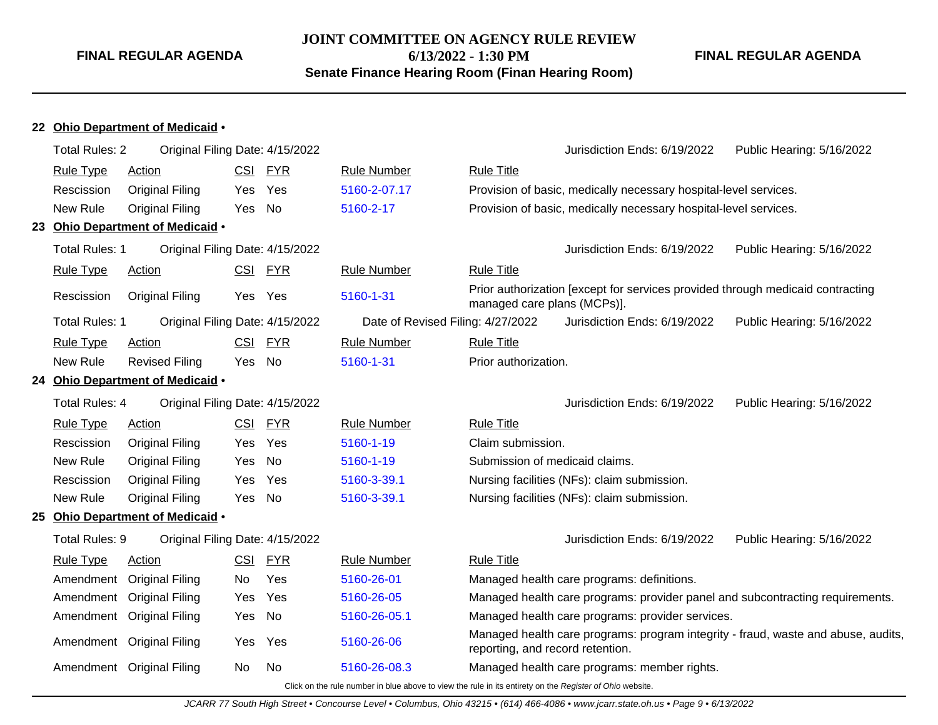**JOINT COMMITTEE ON AGENCY RULE REVIEW 6/13/2022 - 1:30 PM**

**Senate Finance Hearing Room (Finan Hearing Room)**

**FINAL REGULAR AGENDA**

#### **22 Ohio Department of Medicaid** •

| <b>Total Rules: 2</b> | Original Filing Date: 4/15/2022  |            |            |                                   |                                  | Jurisdiction Ends: 6/19/2022                                                   | Public Hearing: 5/16/2022                                                         |
|-----------------------|----------------------------------|------------|------------|-----------------------------------|----------------------------------|--------------------------------------------------------------------------------|-----------------------------------------------------------------------------------|
| <b>Rule Type</b>      | Action                           | <u>CSI</u> | <b>FYR</b> | <b>Rule Number</b>                | <b>Rule Title</b>                |                                                                                |                                                                                   |
| Rescission            | <b>Original Filing</b>           | <b>Yes</b> | Yes        | 5160-2-07.17                      |                                  | Provision of basic, medically necessary hospital-level services.               |                                                                                   |
| New Rule              | <b>Original Filing</b>           | Yes        | No         | 5160-2-17                         |                                  | Provision of basic, medically necessary hospital-level services.               |                                                                                   |
|                       | 23 Ohio Department of Medicaid . |            |            |                                   |                                  |                                                                                |                                                                                   |
| <b>Total Rules: 1</b> | Original Filing Date: 4/15/2022  |            |            |                                   |                                  | Jurisdiction Ends: 6/19/2022                                                   | Public Hearing: 5/16/2022                                                         |
| <b>Rule Type</b>      | <b>Action</b>                    | CSI        | <u>FYR</u> | <b>Rule Number</b>                | <b>Rule Title</b>                |                                                                                |                                                                                   |
| Rescission            | <b>Original Filing</b>           | Yes        | Yes        | 5160-1-31                         | managed care plans (MCPs)].      | Prior authorization [except for services provided through medicaid contracting |                                                                                   |
| <b>Total Rules: 1</b> | Original Filing Date: 4/15/2022  |            |            | Date of Revised Filing: 4/27/2022 |                                  | Jurisdiction Ends: 6/19/2022                                                   | Public Hearing: 5/16/2022                                                         |
| <b>Rule Type</b>      | Action                           | CSI        | <b>FYR</b> | <b>Rule Number</b>                | <b>Rule Title</b>                |                                                                                |                                                                                   |
| New Rule              | <b>Revised Filing</b>            | Yes        | No         | 5160-1-31                         | Prior authorization.             |                                                                                |                                                                                   |
|                       | 24 Ohio Department of Medicaid . |            |            |                                   |                                  |                                                                                |                                                                                   |
| Total Rules: 4        | Original Filing Date: 4/15/2022  |            |            |                                   |                                  | Jurisdiction Ends: 6/19/2022                                                   | Public Hearing: 5/16/2022                                                         |
| <b>Rule Type</b>      | Action                           | CSI        | <b>FYR</b> | <b>Rule Number</b>                | <b>Rule Title</b>                |                                                                                |                                                                                   |
| Rescission            | <b>Original Filing</b>           | Yes        | Yes        | 5160-1-19                         | Claim submission.                |                                                                                |                                                                                   |
| New Rule              | <b>Original Filing</b>           | Yes        | No         | 5160-1-19                         | Submission of medicaid claims.   |                                                                                |                                                                                   |
| Rescission            | Original Filing                  | Yes        | Yes        | 5160-3-39.1                       |                                  | Nursing facilities (NFs): claim submission.                                    |                                                                                   |
| New Rule              | <b>Original Filing</b>           | Yes        | No         | 5160-3-39.1                       |                                  | Nursing facilities (NFs): claim submission.                                    |                                                                                   |
|                       | 25 Ohio Department of Medicaid . |            |            |                                   |                                  |                                                                                |                                                                                   |
| Total Rules: 9        | Original Filing Date: 4/15/2022  |            |            |                                   |                                  | Jurisdiction Ends: 6/19/2022                                                   | Public Hearing: 5/16/2022                                                         |
| <b>Rule Type</b>      | <b>Action</b>                    | <b>CSI</b> | <u>FYR</u> | <b>Rule Number</b>                | <b>Rule Title</b>                |                                                                                |                                                                                   |
|                       | Amendment Original Filing        | No         | Yes        | 5160-26-01                        |                                  | Managed health care programs: definitions.                                     |                                                                                   |
|                       | Amendment Original Filing        | Yes        | Yes        | 5160-26-05                        |                                  | Managed health care programs: provider panel and subcontracting requirements.  |                                                                                   |
|                       | Amendment Original Filing        | Yes        | No         | 5160-26-05.1                      |                                  | Managed health care programs: provider services.                               |                                                                                   |
|                       | Amendment Original Filing        | Yes        | Yes        | 5160-26-06                        | reporting, and record retention. |                                                                                | Managed health care programs: program integrity - fraud, waste and abuse, audits, |
|                       | Amendment Original Filing        | No.        | No.        | 5160-26-08.3                      |                                  | Managed health care programs: member rights.                                   |                                                                                   |
|                       |                                  |            |            |                                   |                                  |                                                                                |                                                                                   |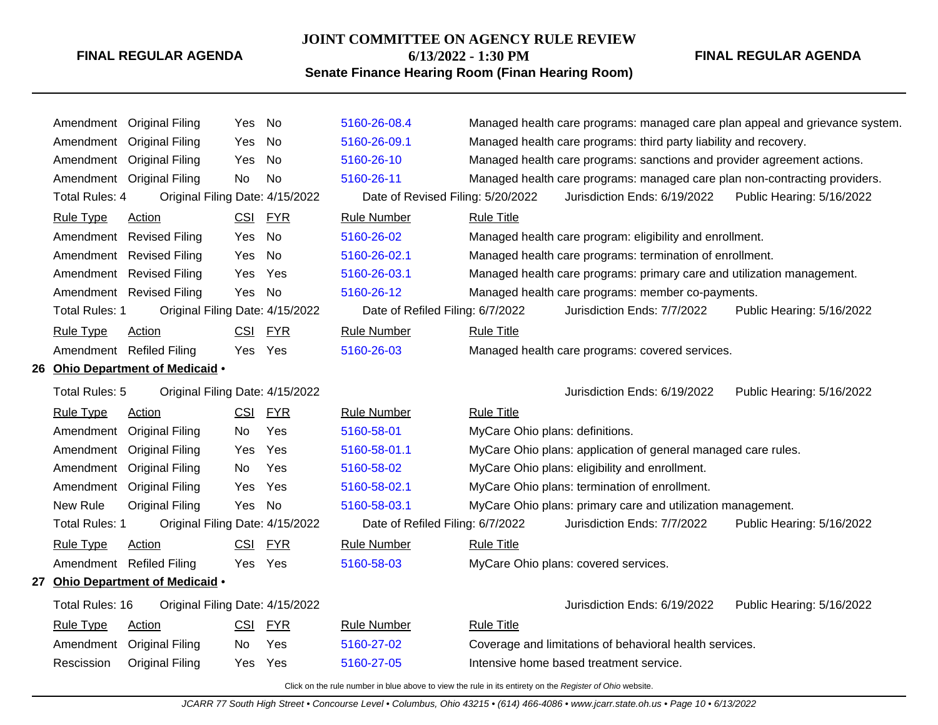#### **JOINT COMMITTEE ON AGENCY RULE REVIEW**

**6/13/2022 - 1:30 PM**

## **FINAL REGULAR AGENDA**

## **Senate Finance Hearing Room (Finan Hearing Room)**

|                        | Amendment Original Filing        | Yes        | No         | 5160-26-08.4                      |                                 |                                                                            | Managed health care programs: managed care plan appeal and grievance system. |
|------------------------|----------------------------------|------------|------------|-----------------------------------|---------------------------------|----------------------------------------------------------------------------|------------------------------------------------------------------------------|
|                        | Amendment Original Filing        | Yes        | No         | 5160-26-09.1                      |                                 | Managed health care programs: third party liability and recovery.          |                                                                              |
|                        | Amendment Original Filing        | Yes        | No         | 5160-26-10                        |                                 | Managed health care programs: sanctions and provider agreement actions.    |                                                                              |
|                        | Amendment Original Filing        | No         | No.        | 5160-26-11                        |                                 | Managed health care programs: managed care plan non-contracting providers. |                                                                              |
| <b>Total Rules: 4</b>  | Original Filing Date: 4/15/2022  |            |            | Date of Revised Filing: 5/20/2022 |                                 | Jurisdiction Ends: 6/19/2022                                               | Public Hearing: 5/16/2022                                                    |
| <b>Rule Type</b>       | <b>Action</b>                    | <u>CSI</u> | <b>FYR</b> | <b>Rule Number</b>                | <b>Rule Title</b>               |                                                                            |                                                                              |
|                        | Amendment Revised Filing         | Yes        | No         | 5160-26-02                        |                                 | Managed health care program: eligibility and enrollment.                   |                                                                              |
|                        | Amendment Revised Filing         | Yes        | No         | 5160-26-02.1                      |                                 | Managed health care programs: termination of enrollment.                   |                                                                              |
|                        | Amendment Revised Filing         | Yes        | Yes        | 5160-26-03.1                      |                                 | Managed health care programs: primary care and utilization management.     |                                                                              |
|                        | Amendment Revised Filing         | Yes.       | No         | 5160-26-12                        |                                 | Managed health care programs: member co-payments.                          |                                                                              |
| Total Rules: 1         | Original Filing Date: 4/15/2022  |            |            | Date of Refiled Filing: 6/7/2022  |                                 | Jurisdiction Ends: 7/7/2022                                                | Public Hearing: 5/16/2022                                                    |
| <b>Rule Type</b>       | <b>Action</b>                    | <u>CSI</u> | <b>FYR</b> | <b>Rule Number</b>                | <b>Rule Title</b>               |                                                                            |                                                                              |
|                        | Amendment Refiled Filing         | Yes Yes    |            | 5160-26-03                        |                                 | Managed health care programs: covered services.                            |                                                                              |
|                        | 26 Ohio Department of Medicaid . |            |            |                                   |                                 |                                                                            |                                                                              |
| Total Rules: 5         | Original Filing Date: 4/15/2022  |            |            |                                   |                                 | Jurisdiction Ends: 6/19/2022                                               | Public Hearing: 5/16/2022                                                    |
| Rule Type              | Action                           | <u>CSI</u> | <b>FYR</b> | <b>Rule Number</b>                | <b>Rule Title</b>               |                                                                            |                                                                              |
|                        | Amendment Original Filing        | No         | Yes        | 5160-58-01                        | MyCare Ohio plans: definitions. |                                                                            |                                                                              |
|                        | Amendment Original Filing        | Yes        | Yes        | 5160-58-01.1                      |                                 | MyCare Ohio plans: application of general managed care rules.              |                                                                              |
|                        | Amendment Original Filing        | No         | Yes        | 5160-58-02                        |                                 | MyCare Ohio plans: eligibility and enrollment.                             |                                                                              |
|                        | Amendment Original Filing        | Yes        | Yes        | 5160-58-02.1                      |                                 | MyCare Ohio plans: termination of enrollment.                              |                                                                              |
| New Rule               | <b>Original Filing</b>           | Yes        | No         | 5160-58-03.1                      |                                 | MyCare Ohio plans: primary care and utilization management.                |                                                                              |
| Total Rules: 1         | Original Filing Date: 4/15/2022  |            |            | Date of Refiled Filing: 6/7/2022  |                                 | Jurisdiction Ends: 7/7/2022                                                | Public Hearing: 5/16/2022                                                    |
| <b>Rule Type</b>       | Action                           | <b>CSI</b> | <b>FYR</b> | <b>Rule Number</b>                | <b>Rule Title</b>               |                                                                            |                                                                              |
|                        | Amendment Refiled Filing         | Yes Yes    |            | 5160-58-03                        |                                 | MyCare Ohio plans: covered services.                                       |                                                                              |
|                        | 27 Ohio Department of Medicaid . |            |            |                                   |                                 |                                                                            |                                                                              |
| <b>Total Rules: 16</b> | Original Filing Date: 4/15/2022  |            |            |                                   |                                 | Jurisdiction Ends: 6/19/2022                                               | Public Hearing: 5/16/2022                                                    |
| <b>Rule Type</b>       | Action                           | CSI        | <b>FYR</b> | <b>Rule Number</b>                | <b>Rule Title</b>               |                                                                            |                                                                              |
|                        | Amendment Original Filing        | No.        | Yes        | 5160-27-02                        |                                 | Coverage and limitations of behavioral health services.                    |                                                                              |
| Rescission             | <b>Original Filing</b>           | Yes        | Yes        | 5160-27-05                        |                                 | Intensive home based treatment service.                                    |                                                                              |
|                        |                                  |            |            |                                   |                                 |                                                                            |                                                                              |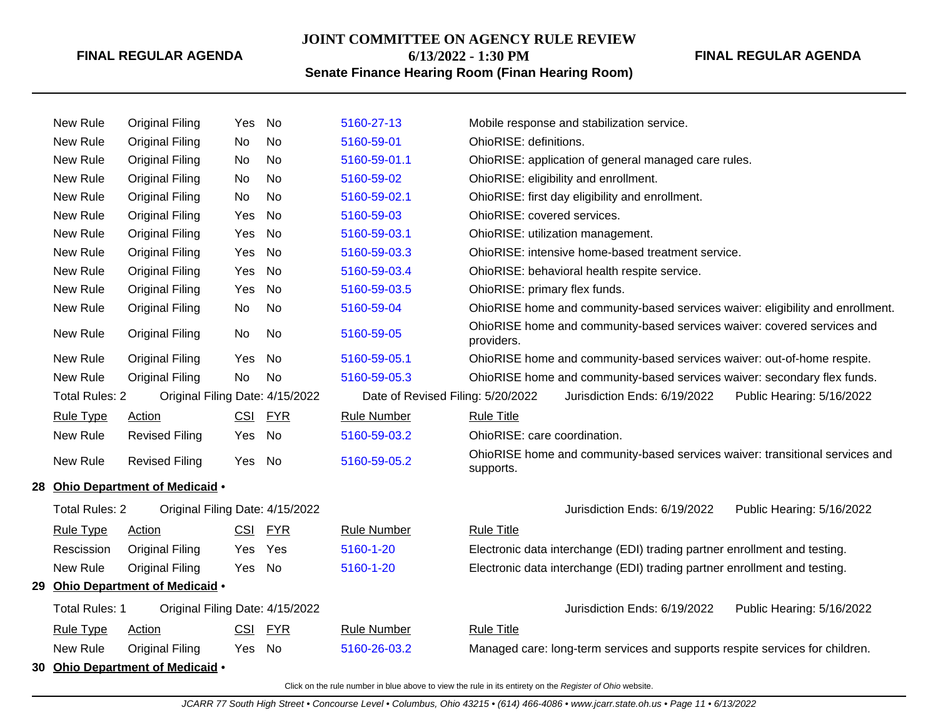## **JOINT COMMITTEE ON AGENCY RULE REVIEW 6/13/2022 - 1:30 PM**

**FINAL REGULAR AGENDA**

## **Senate Finance Hearing Room (Finan Hearing Room)**

| New Rule              | <b>Original Filing</b>           | Yes        | No         | 5160-27-13                        | Mobile response and stabilization service.                                                |
|-----------------------|----------------------------------|------------|------------|-----------------------------------|-------------------------------------------------------------------------------------------|
| New Rule              | <b>Original Filing</b>           | No         | <b>No</b>  | 5160-59-01                        | OhioRISE: definitions.                                                                    |
| New Rule              | <b>Original Filing</b>           | No         | No         | 5160-59-01.1                      | OhioRISE: application of general managed care rules.                                      |
| New Rule              | <b>Original Filing</b>           | No         | No         | 5160-59-02                        | OhioRISE: eligibility and enrollment.                                                     |
| New Rule              | <b>Original Filing</b>           | No         | <b>No</b>  | 5160-59-02.1                      | OhioRISE: first day eligibility and enrollment.                                           |
| New Rule              | <b>Original Filing</b>           | Yes        | No         | 5160-59-03                        | OhioRISE: covered services.                                                               |
| New Rule              | <b>Original Filing</b>           | Yes        | No         | 5160-59-03.1                      | OhioRISE: utilization management.                                                         |
| New Rule              | <b>Original Filing</b>           | Yes        | No         | 5160-59-03.3                      | OhioRISE: intensive home-based treatment service.                                         |
| New Rule              | <b>Original Filing</b>           | Yes        | <b>No</b>  | 5160-59-03.4                      | OhioRISE: behavioral health respite service.                                              |
| New Rule              | <b>Original Filing</b>           | Yes        | No         | 5160-59-03.5                      | OhioRISE: primary flex funds.                                                             |
| New Rule              | <b>Original Filing</b>           | No         | No         | 5160-59-04                        | OhioRISE home and community-based services waiver: eligibility and enrollment.            |
| New Rule              | <b>Original Filing</b>           | No         | No         | 5160-59-05                        | OhioRISE home and community-based services waiver: covered services and<br>providers.     |
| New Rule              | <b>Original Filing</b>           | <b>Yes</b> | No         | 5160-59-05.1                      | OhioRISE home and community-based services waiver: out-of-home respite.                   |
| New Rule              | <b>Original Filing</b>           | No         | No         | 5160-59-05.3                      | OhioRISE home and community-based services waiver: secondary flex funds.                  |
| <b>Total Rules: 2</b> | Original Filing Date: 4/15/2022  |            |            | Date of Revised Filing: 5/20/2022 | Jurisdiction Ends: 6/19/2022<br>Public Hearing: 5/16/2022                                 |
| <b>Rule Type</b>      | <b>Action</b>                    | CSI FYR    |            | <b>Rule Number</b>                | <b>Rule Title</b>                                                                         |
| New Rule              | <b>Revised Filing</b>            | Yes        | No         | 5160-59-03.2                      | OhioRISE: care coordination.                                                              |
| New Rule              | <b>Revised Filing</b>            | Yes        | No         | 5160-59-05.2                      | OhioRISE home and community-based services waiver: transitional services and<br>supports. |
|                       | 28 Ohio Department of Medicaid . |            |            |                                   |                                                                                           |
| <b>Total Rules: 2</b> | Original Filing Date: 4/15/2022  |            |            |                                   | Jurisdiction Ends: 6/19/2022<br>Public Hearing: 5/16/2022                                 |
| <b>Rule Type</b>      | <b>Action</b>                    | <b>CSI</b> | <b>FYR</b> | <b>Rule Number</b>                | <b>Rule Title</b>                                                                         |
| Rescission            | <b>Original Filing</b>           | Yes        | Yes        | 5160-1-20                         | Electronic data interchange (EDI) trading partner enrollment and testing.                 |
| New Rule              | <b>Original Filing</b>           | Yes        | No         | 5160-1-20                         | Electronic data interchange (EDI) trading partner enrollment and testing.                 |
|                       | 29 Ohio Department of Medicaid . |            |            |                                   |                                                                                           |
| Total Rules: 1        | Original Filing Date: 4/15/2022  |            |            |                                   | Jurisdiction Ends: 6/19/2022<br>Public Hearing: 5/16/2022                                 |
| <b>Rule Type</b>      | <b>Action</b>                    | <b>CSI</b> | <b>FYR</b> | <b>Rule Number</b>                | <b>Rule Title</b>                                                                         |
| New Rule              | <b>Original Filing</b>           | Yes        | No         | 5160-26-03.2                      | Managed care: long-term services and supports respite services for children.              |
|                       | 30 Ohio Department of Medicaid . |            |            |                                   |                                                                                           |
|                       |                                  |            |            |                                   |                                                                                           |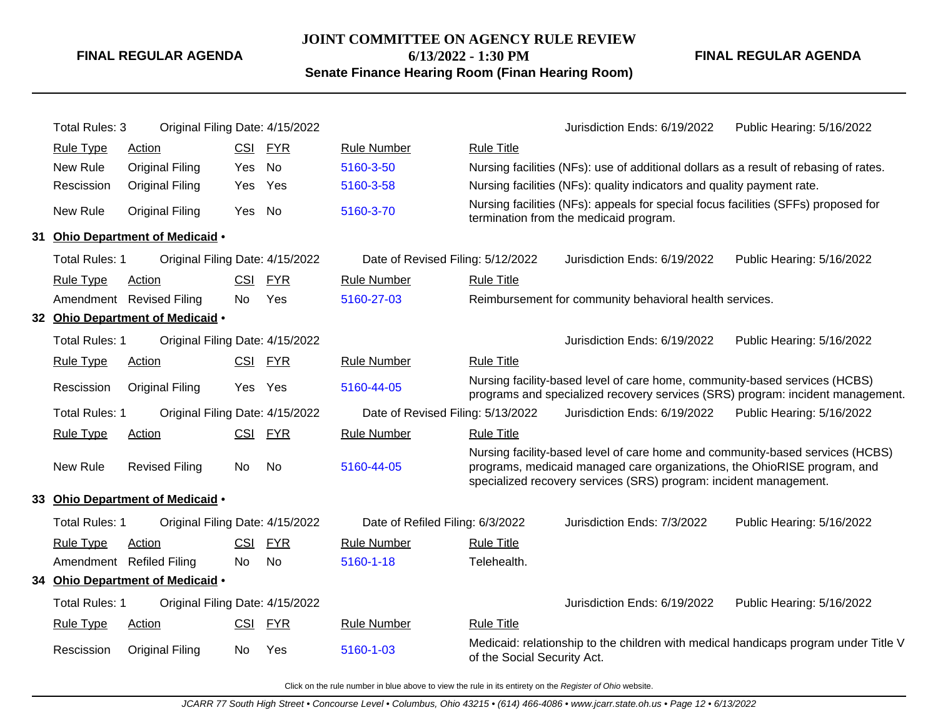## **JOINT COMMITTEE ON AGENCY RULE REVIEW 6/13/2022 - 1:30 PM**

**Senate Finance Hearing Room (Finan Hearing Room)**

**FINAL REGULAR AGENDA**

| <b>Total Rules: 3</b> | Original Filing Date: 4/15/2022  |            |            |                                   |                             | Jurisdiction Ends: 6/19/2022                                                                                                                                                                                                   | Public Hearing: 5/16/2022                                                           |
|-----------------------|----------------------------------|------------|------------|-----------------------------------|-----------------------------|--------------------------------------------------------------------------------------------------------------------------------------------------------------------------------------------------------------------------------|-------------------------------------------------------------------------------------|
| <b>Rule Type</b>      | <b>Action</b>                    |            | CSI FYR    | <b>Rule Number</b>                | <b>Rule Title</b>           |                                                                                                                                                                                                                                |                                                                                     |
| New Rule              | <b>Original Filing</b>           | Yes        | <b>No</b>  | 5160-3-50                         |                             | Nursing facilities (NFs): use of additional dollars as a result of rebasing of rates.                                                                                                                                          |                                                                                     |
| Rescission            | <b>Original Filing</b>           | Yes        | Yes        | 5160-3-58                         |                             | Nursing facilities (NFs): quality indicators and quality payment rate.                                                                                                                                                         |                                                                                     |
| New Rule              | <b>Original Filing</b>           | Yes No     |            | 5160-3-70                         |                             | Nursing facilities (NFs): appeals for special focus facilities (SFFs) proposed for<br>termination from the medicaid program.                                                                                                   |                                                                                     |
|                       | 31 Ohio Department of Medicaid . |            |            |                                   |                             |                                                                                                                                                                                                                                |                                                                                     |
| Total Rules: 1        | Original Filing Date: 4/15/2022  |            |            | Date of Revised Filing: 5/12/2022 |                             | Jurisdiction Ends: 6/19/2022                                                                                                                                                                                                   | Public Hearing: 5/16/2022                                                           |
| <b>Rule Type</b>      | Action                           | <b>CSI</b> | <b>FYR</b> | <b>Rule Number</b>                | <b>Rule Title</b>           |                                                                                                                                                                                                                                |                                                                                     |
|                       | Amendment Revised Filing         | No         | Yes        | 5160-27-03                        |                             | Reimbursement for community behavioral health services.                                                                                                                                                                        |                                                                                     |
|                       | 32 Ohio Department of Medicaid . |            |            |                                   |                             |                                                                                                                                                                                                                                |                                                                                     |
| <b>Total Rules: 1</b> | Original Filing Date: 4/15/2022  |            |            |                                   |                             | Jurisdiction Ends: 6/19/2022                                                                                                                                                                                                   | Public Hearing: 5/16/2022                                                           |
| <b>Rule Type</b>      | <b>Action</b>                    |            | CSI FYR    | <b>Rule Number</b>                | <b>Rule Title</b>           |                                                                                                                                                                                                                                |                                                                                     |
| Rescission            | <b>Original Filing</b>           |            | Yes Yes    | 5160-44-05                        |                             | Nursing facility-based level of care home, community-based services (HCBS)                                                                                                                                                     | programs and specialized recovery services (SRS) program: incident management.      |
| Total Rules: 1        | Original Filing Date: 4/15/2022  |            |            | Date of Revised Filing: 5/13/2022 |                             | Jurisdiction Ends: 6/19/2022                                                                                                                                                                                                   | Public Hearing: 5/16/2022                                                           |
| <b>Rule Type</b>      | <b>Action</b>                    | CSI        | <u>FYR</u> | <b>Rule Number</b>                | <b>Rule Title</b>           |                                                                                                                                                                                                                                |                                                                                     |
| New Rule              | <b>Revised Filing</b>            | No         | No         | 5160-44-05                        |                             | Nursing facility-based level of care home and community-based services (HCBS)<br>programs, medicaid managed care organizations, the OhioRISE program, and<br>specialized recovery services (SRS) program: incident management. |                                                                                     |
|                       | 33 Ohio Department of Medicaid . |            |            |                                   |                             |                                                                                                                                                                                                                                |                                                                                     |
| <b>Total Rules: 1</b> | Original Filing Date: 4/15/2022  |            |            | Date of Refiled Filing: 6/3/2022  |                             | Jurisdiction Ends: 7/3/2022                                                                                                                                                                                                    | Public Hearing: 5/16/2022                                                           |
| <b>Rule Type</b>      | <b>Action</b>                    | CSI        | <b>FYR</b> | <b>Rule Number</b>                | <b>Rule Title</b>           |                                                                                                                                                                                                                                |                                                                                     |
|                       | Amendment Refiled Filing         | No         | <b>No</b>  | 5160-1-18                         | Telehealth.                 |                                                                                                                                                                                                                                |                                                                                     |
|                       | 34 Ohio Department of Medicaid . |            |            |                                   |                             |                                                                                                                                                                                                                                |                                                                                     |
| <b>Total Rules: 1</b> | Original Filing Date: 4/15/2022  |            |            |                                   |                             | Jurisdiction Ends: 6/19/2022                                                                                                                                                                                                   | Public Hearing: 5/16/2022                                                           |
| <b>Rule Type</b>      | <b>Action</b>                    | <u>CSI</u> | <b>FYR</b> | <b>Rule Number</b>                | <b>Rule Title</b>           |                                                                                                                                                                                                                                |                                                                                     |
| Rescission            | <b>Original Filing</b>           | No         | Yes        | 5160-1-03                         | of the Social Security Act. |                                                                                                                                                                                                                                | Medicaid: relationship to the children with medical handicaps program under Title V |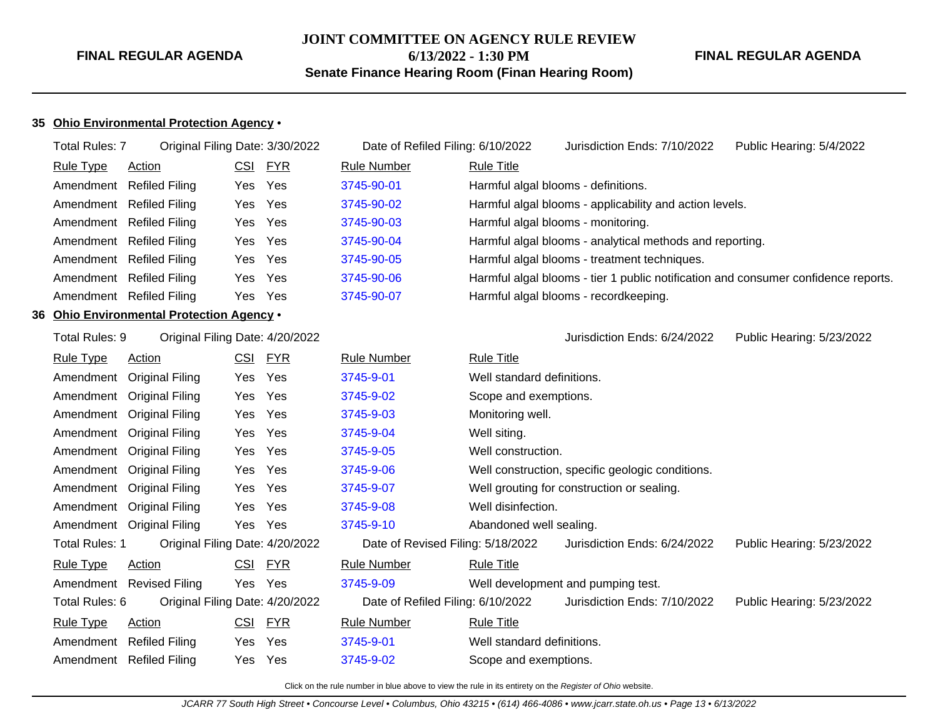## **JOINT COMMITTEE ON AGENCY RULE REVIEW 6/13/2022 - 1:30 PM**

**FINAL REGULAR AGENDA**

**Senate Finance Hearing Room (Finan Hearing Room)**

## **35 Ohio Environmental Protection Agency** •

|     | <b>Total Rules: 7</b> | Original Filing Date: 3/30/2022        |            |            | Date of Refiled Filing: 6/10/2022 |                            | Jurisdiction Ends: 7/10/2022                                                       | Public Hearing: 5/4/2022  |
|-----|-----------------------|----------------------------------------|------------|------------|-----------------------------------|----------------------------|------------------------------------------------------------------------------------|---------------------------|
|     | <b>Rule Type</b>      | <b>Action</b>                          | CSI        | <u>FYR</u> | <b>Rule Number</b>                | <b>Rule Title</b>          |                                                                                    |                           |
|     |                       | Amendment Refiled Filing               | Yes        | Yes        | 3745-90-01                        |                            | Harmful algal blooms - definitions.                                                |                           |
|     |                       | Amendment Refiled Filing               | Yes        | Yes        | 3745-90-02                        |                            | Harmful algal blooms - applicability and action levels.                            |                           |
|     |                       | Amendment Refiled Filing               | Yes        | Yes        | 3745-90-03                        |                            | Harmful algal blooms - monitoring.                                                 |                           |
|     |                       | Amendment Refiled Filing               | Yes        | Yes        | 3745-90-04                        |                            | Harmful algal blooms - analytical methods and reporting.                           |                           |
|     |                       | Amendment Refiled Filing               | Yes        | Yes        | 3745-90-05                        |                            | Harmful algal blooms - treatment techniques.                                       |                           |
|     |                       | Amendment Refiled Filing               | Yes        | Yes        | 3745-90-06                        |                            | Harmful algal blooms - tier 1 public notification and consumer confidence reports. |                           |
|     |                       | Amendment Refiled Filing               | Yes        | Yes        | 3745-90-07                        |                            | Harmful algal blooms - recordkeeping.                                              |                           |
| 36. |                       | Ohio Environmental Protection Agency . |            |            |                                   |                            |                                                                                    |                           |
|     | Total Rules: 9        | Original Filing Date: 4/20/2022        |            |            |                                   |                            | Jurisdiction Ends: 6/24/2022                                                       | Public Hearing: 5/23/2022 |
|     | <b>Rule Type</b>      | <b>Action</b>                          |            | CSI FYR    | <b>Rule Number</b>                | <b>Rule Title</b>          |                                                                                    |                           |
|     |                       | Amendment Original Filing              | Yes        | Yes        | 3745-9-01                         | Well standard definitions. |                                                                                    |                           |
|     |                       | Amendment Original Filing              | Yes        | Yes        | 3745-9-02                         | Scope and exemptions.      |                                                                                    |                           |
|     |                       | Amendment Original Filing              | Yes        | Yes        | 3745-9-03                         | Monitoring well.           |                                                                                    |                           |
|     |                       | Amendment Original Filing              | Yes        | Yes        | 3745-9-04                         | Well siting.               |                                                                                    |                           |
|     |                       | Amendment Original Filing              | Yes        | Yes        | 3745-9-05                         | Well construction.         |                                                                                    |                           |
|     |                       | Amendment Original Filing              | Yes        | Yes        | 3745-9-06                         |                            | Well construction, specific geologic conditions.                                   |                           |
|     |                       | Amendment Original Filing              | Yes        | Yes        | 3745-9-07                         |                            | Well grouting for construction or sealing.                                         |                           |
|     |                       | Amendment Original Filing              | Yes        | Yes        | 3745-9-08                         | Well disinfection.         |                                                                                    |                           |
|     |                       | Amendment Original Filing              | Yes        | Yes        | 3745-9-10                         | Abandoned well sealing.    |                                                                                    |                           |
|     | <b>Total Rules: 1</b> | Original Filing Date: 4/20/2022        |            |            | Date of Revised Filing: 5/18/2022 |                            | Jurisdiction Ends: 6/24/2022                                                       | Public Hearing: 5/23/2022 |
|     | <b>Rule Type</b>      | <b>Action</b>                          | CSI        | <u>FYR</u> | <b>Rule Number</b>                | <b>Rule Title</b>          |                                                                                    |                           |
|     |                       | Amendment Revised Filing               |            | Yes Yes    | 3745-9-09                         |                            | Well development and pumping test.                                                 |                           |
|     | Total Rules: 6        | Original Filing Date: 4/20/2022        |            |            | Date of Refiled Filing: 6/10/2022 |                            | Jurisdiction Ends: 7/10/2022                                                       | Public Hearing: 5/23/2022 |
|     | Rule Type             | <b>Action</b>                          | <u>CSI</u> | <b>FYR</b> | <b>Rule Number</b>                | <b>Rule Title</b>          |                                                                                    |                           |
|     |                       | Amendment Refiled Filing               | Yes        | Yes        | 3745-9-01                         | Well standard definitions. |                                                                                    |                           |
|     |                       | Amendment Refiled Filing               | Yes        | Yes        | 3745-9-02                         | Scope and exemptions.      |                                                                                    |                           |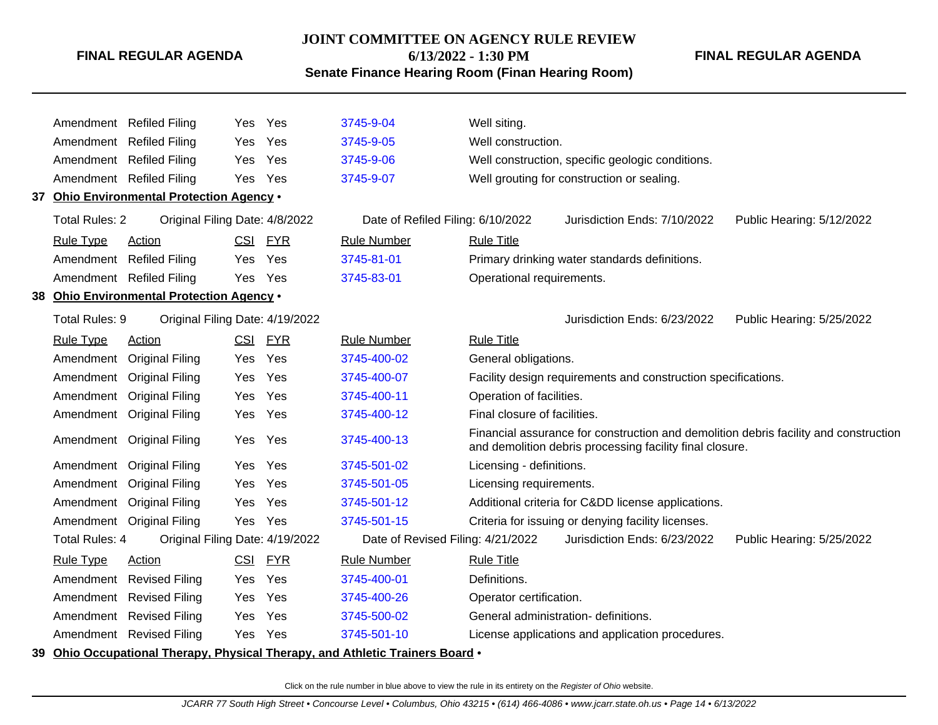#### **JOINT COMMITTEE ON AGENCY RULE REVIEW**

**6/13/2022 - 1:30 PM**

**FINAL REGULAR AGENDA**

**Senate Finance Hearing Room (Finan Hearing Room)**

|                       | Amendment Refiled Filing                  | Yes.       | Yes        | 3745-9-04                                                                     | Well siting.                                                                                                                                     |
|-----------------------|-------------------------------------------|------------|------------|-------------------------------------------------------------------------------|--------------------------------------------------------------------------------------------------------------------------------------------------|
|                       | Amendment Refiled Filing                  | <b>Yes</b> | Yes        | 3745-9-05                                                                     | Well construction.                                                                                                                               |
|                       | Amendment Refiled Filing                  | Yes        | Yes        | 3745-9-06                                                                     | Well construction, specific geologic conditions.                                                                                                 |
|                       | Amendment Refiled Filing                  | Yes        | Yes        | 3745-9-07                                                                     | Well grouting for construction or sealing.                                                                                                       |
|                       | 37 Ohio Environmental Protection Agency . |            |            |                                                                               |                                                                                                                                                  |
| <b>Total Rules: 2</b> | Original Filing Date: 4/8/2022            |            |            | Date of Refiled Filing: 6/10/2022                                             | Jurisdiction Ends: 7/10/2022<br>Public Hearing: 5/12/2022                                                                                        |
| <b>Rule Type</b>      | Action                                    | CSI        | <u>FYR</u> | <b>Rule Number</b>                                                            | <b>Rule Title</b>                                                                                                                                |
|                       | Amendment Refiled Filing                  | Yes.       | Yes        | 3745-81-01                                                                    | Primary drinking water standards definitions.                                                                                                    |
|                       | Amendment Refiled Filing                  | Yes        | Yes        | 3745-83-01                                                                    | Operational requirements.                                                                                                                        |
|                       | 38 Ohio Environmental Protection Agency . |            |            |                                                                               |                                                                                                                                                  |
| Total Rules: 9        | Original Filing Date: 4/19/2022           |            |            |                                                                               | Jurisdiction Ends: 6/23/2022<br>Public Hearing: 5/25/2022                                                                                        |
| <b>Rule Type</b>      | <b>Action</b>                             | <u>CSI</u> | <u>FYR</u> | <b>Rule Number</b>                                                            | <b>Rule Title</b>                                                                                                                                |
| Amendment             | <b>Original Filing</b>                    | Yes        | Yes        | 3745-400-02                                                                   | General obligations.                                                                                                                             |
| Amendment             | <b>Original Filing</b>                    | Yes        | Yes        | 3745-400-07                                                                   | Facility design requirements and construction specifications.                                                                                    |
|                       | Amendment Original Filing                 | Yes        | Yes        | 3745-400-11                                                                   | Operation of facilities.                                                                                                                         |
|                       | Amendment Original Filing                 | Yes        | Yes        | 3745-400-12                                                                   | Final closure of facilities.                                                                                                                     |
|                       | Amendment Original Filing                 | Yes        | Yes        | 3745-400-13                                                                   | Financial assurance for construction and demolition debris facility and construction<br>and demolition debris processing facility final closure. |
|                       | Amendment Original Filing                 | Yes        | Yes        | 3745-501-02                                                                   | Licensing - definitions.                                                                                                                         |
|                       | Amendment Original Filing                 | Yes        | Yes        | 3745-501-05                                                                   | Licensing requirements.                                                                                                                          |
|                       | Amendment Original Filing                 | <b>Yes</b> | Yes        | 3745-501-12                                                                   | Additional criteria for Cⅅ license applications.                                                                                                 |
|                       | Amendment Original Filing                 | Yes        | Yes        | 3745-501-15                                                                   | Criteria for issuing or denying facility licenses.                                                                                               |
| <b>Total Rules: 4</b> | Original Filing Date: 4/19/2022           |            |            | Date of Revised Filing: 4/21/2022                                             | Jurisdiction Ends: 6/23/2022<br>Public Hearing: 5/25/2022                                                                                        |
| <b>Rule Type</b>      | <b>Action</b>                             | <b>CSI</b> | <b>FYR</b> | <b>Rule Number</b>                                                            | <b>Rule Title</b>                                                                                                                                |
|                       | Amendment Revised Filing                  | Yes        | Yes        | 3745-400-01                                                                   | Definitions.                                                                                                                                     |
|                       | Amendment Revised Filing                  | Yes        | Yes        | 3745-400-26                                                                   | Operator certification.                                                                                                                          |
|                       | Amendment Revised Filing                  | <b>Yes</b> | Yes        | 3745-500-02                                                                   | General administration- definitions.                                                                                                             |
|                       | Amendment Revised Filing                  | Yes        | Yes        | 3745-501-10                                                                   | License applications and application procedures.                                                                                                 |
|                       |                                           |            |            | 39 Ohio Occupational Therapy, Physical Therapy, and Athletic Trainers Board . |                                                                                                                                                  |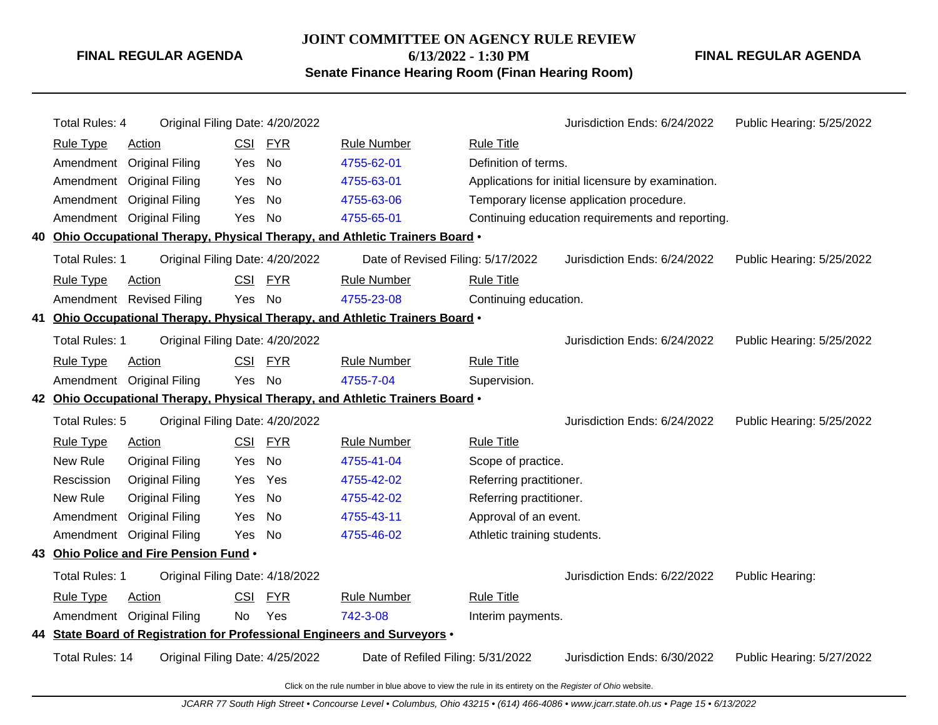## **JOINT COMMITTEE ON AGENCY RULE REVIEW**

**6/13/2022 - 1:30 PM**

**Senate Finance Hearing Room (Finan Hearing Room)**

**FINAL REGULAR AGENDA**

| <b>Total Rules: 4</b>                                                                                                          | Original Filing Date: 4/20/2022        |            |            |                                                                               |                             | Jurisdiction Ends: 6/24/2022                       | Public Hearing: 5/25/2022 |
|--------------------------------------------------------------------------------------------------------------------------------|----------------------------------------|------------|------------|-------------------------------------------------------------------------------|-----------------------------|----------------------------------------------------|---------------------------|
| <b>Rule Type</b>                                                                                                               | <b>Action</b>                          | <u>CSI</u> | <b>FYR</b> | <b>Rule Number</b>                                                            | <b>Rule Title</b>           |                                                    |                           |
| Amendment                                                                                                                      | <b>Original Filing</b>                 | Yes        | No         | 4755-62-01                                                                    | Definition of terms.        |                                                    |                           |
| Amendment                                                                                                                      | <b>Original Filing</b>                 | Yes        | No         | 4755-63-01                                                                    |                             | Applications for initial licensure by examination. |                           |
| Amendment                                                                                                                      | <b>Original Filing</b>                 | Yes        | No         | 4755-63-06                                                                    |                             | Temporary license application procedure.           |                           |
| Amendment                                                                                                                      | <b>Original Filing</b>                 | Yes        | <b>No</b>  | 4755-65-01                                                                    |                             | Continuing education requirements and reporting.   |                           |
|                                                                                                                                |                                        |            |            | 40 Ohio Occupational Therapy, Physical Therapy, and Athletic Trainers Board . |                             |                                                    |                           |
| <b>Total Rules: 1</b>                                                                                                          | Original Filing Date: 4/20/2022        |            |            | Date of Revised Filing: 5/17/2022                                             |                             | Jurisdiction Ends: 6/24/2022                       | Public Hearing: 5/25/2022 |
| <b>Rule Type</b>                                                                                                               | Action                                 | <b>CSI</b> | <b>FYR</b> | <b>Rule Number</b>                                                            | <b>Rule Title</b>           |                                                    |                           |
|                                                                                                                                | Amendment Revised Filing               | Yes        | <b>No</b>  | 4755-23-08                                                                    | Continuing education.       |                                                    |                           |
|                                                                                                                                |                                        |            |            | 41 Ohio Occupational Therapy, Physical Therapy, and Athletic Trainers Board . |                             |                                                    |                           |
| Total Rules: 1<br>Original Filing Date: 4/20/2022<br>Jurisdiction Ends: 6/24/2022                                              |                                        |            |            |                                                                               |                             | Public Hearing: 5/25/2022                          |                           |
| <b>Rule Type</b>                                                                                                               | <b>Action</b>                          |            | CSI FYR    | <b>Rule Number</b>                                                            | <b>Rule Title</b>           |                                                    |                           |
|                                                                                                                                | Amendment Original Filing              | Yes        | No         | 4755-7-04                                                                     | Supervision.                |                                                    |                           |
|                                                                                                                                |                                        |            |            | 42 Ohio Occupational Therapy, Physical Therapy, and Athletic Trainers Board . |                             |                                                    |                           |
| Total Rules: 5                                                                                                                 | Original Filing Date: 4/20/2022        |            |            |                                                                               |                             | Jurisdiction Ends: 6/24/2022                       | Public Hearing: 5/25/2022 |
| <b>Rule Type</b>                                                                                                               | Action                                 | <b>CSI</b> | <b>FYR</b> | <b>Rule Number</b>                                                            | <b>Rule Title</b>           |                                                    |                           |
| New Rule                                                                                                                       | <b>Original Filing</b>                 | Yes        | <b>No</b>  | 4755-41-04                                                                    | Scope of practice.          |                                                    |                           |
| Rescission                                                                                                                     | <b>Original Filing</b>                 | Yes        | Yes        | 4755-42-02                                                                    | Referring practitioner.     |                                                    |                           |
| New Rule                                                                                                                       | <b>Original Filing</b>                 | Yes        | <b>No</b>  | 4755-42-02                                                                    | Referring practitioner.     |                                                    |                           |
| Amendment                                                                                                                      | <b>Original Filing</b>                 | Yes        | No         | 4755-43-11                                                                    | Approval of an event.       |                                                    |                           |
| Amendment                                                                                                                      | <b>Original Filing</b>                 | Yes        | No         | 4755-46-02                                                                    | Athletic training students. |                                                    |                           |
|                                                                                                                                | 43 Ohio Police and Fire Pension Fund . |            |            |                                                                               |                             |                                                    |                           |
| <b>Total Rules: 1</b>                                                                                                          | Original Filing Date: 4/18/2022        |            |            |                                                                               |                             | Jurisdiction Ends: 6/22/2022                       | Public Hearing:           |
| <b>Rule Type</b>                                                                                                               | Action                                 | CSI        | <b>FYR</b> | <b>Rule Number</b>                                                            | <b>Rule Title</b>           |                                                    |                           |
|                                                                                                                                | Amendment Original Filing              | No         | Yes        | 742-3-08                                                                      | Interim payments.           |                                                    |                           |
|                                                                                                                                |                                        |            |            | 44 State Board of Registration for Professional Engineers and Surveyors .     |                             |                                                    |                           |
| <b>Total Rules: 14</b><br>Original Filing Date: 4/25/2022<br>Jurisdiction Ends: 6/30/2022<br>Date of Refiled Filing: 5/31/2022 |                                        |            |            |                                                                               |                             | Public Hearing: 5/27/2022                          |                           |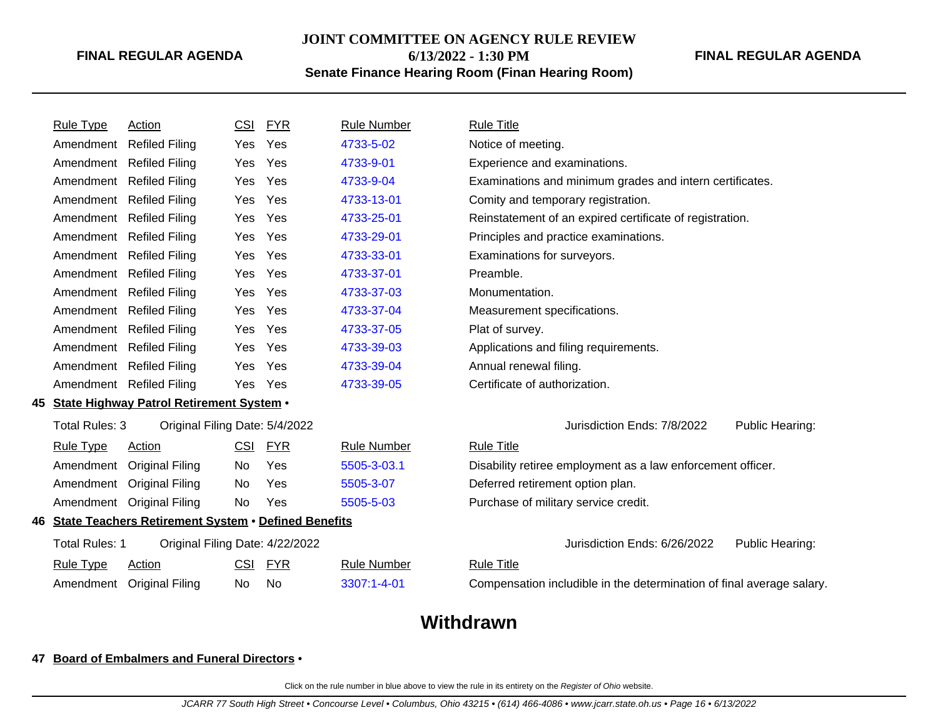## **JOINT COMMITTEE ON AGENCY RULE REVIEW**

**6/13/2022 - 1:30 PM**

## **Senate Finance Hearing Room (Finan Hearing Room)**

| <b>FINAL REGULAR AGENDA</b> |  |
|-----------------------------|--|
|                             |  |

|     | <b>Rule Type</b>                                       | Action                                          | <b>CSI</b> | <b>FYR</b> | <b>Rule Number</b>                              | <b>Rule Title</b>                                                     |  |
|-----|--------------------------------------------------------|-------------------------------------------------|------------|------------|-------------------------------------------------|-----------------------------------------------------------------------|--|
|     | Amendment                                              | <b>Refiled Filing</b>                           | <b>Yes</b> | Yes        | 4733-5-02                                       | Notice of meeting.                                                    |  |
|     | Amendment                                              | <b>Refiled Filing</b>                           | <b>Yes</b> | Yes        | 4733-9-01                                       | Experience and examinations.                                          |  |
|     | Amendment                                              | <b>Refiled Filing</b>                           | Yes        | Yes        | 4733-9-04                                       | Examinations and minimum grades and intern certificates.              |  |
|     | Amendment                                              | <b>Refiled Filing</b>                           | Yes        | Yes        | 4733-13-01                                      | Comity and temporary registration.                                    |  |
|     | Amendment                                              | <b>Refiled Filing</b>                           | Yes        | Yes        | 4733-25-01                                      | Reinstatement of an expired certificate of registration.              |  |
|     | Amendment                                              | <b>Refiled Filing</b>                           | Yes        | Yes        | 4733-29-01                                      | Principles and practice examinations.                                 |  |
|     | Amendment                                              | <b>Refiled Filing</b>                           | Yes        | Yes        | 4733-33-01                                      | Examinations for surveyors.                                           |  |
|     | Amendment                                              | <b>Refiled Filing</b>                           | Yes        | Yes        | 4733-37-01                                      | Preamble.                                                             |  |
|     | Amendment                                              | <b>Refiled Filing</b>                           | Yes        | Yes        | 4733-37-03                                      | Monumentation.                                                        |  |
|     | Amendment                                              | <b>Refiled Filing</b>                           | <b>Yes</b> | Yes        | 4733-37-04                                      | Measurement specifications.                                           |  |
|     | Amendment                                              | <b>Refiled Filing</b>                           | <b>Yes</b> | Yes        | 4733-37-05                                      | Plat of survey.                                                       |  |
|     | Amendment                                              | <b>Refiled Filing</b>                           | <b>Yes</b> | Yes        | 4733-39-03                                      | Applications and filing requirements.                                 |  |
|     | Amendment                                              | <b>Refiled Filing</b>                           | <b>Yes</b> | Yes        | 4733-39-04                                      | Annual renewal filing.                                                |  |
|     | Amendment                                              | <b>Refiled Filing</b>                           | Yes        | Yes        | 4733-39-05                                      | Certificate of authorization.                                         |  |
| 45. |                                                        | <b>State Highway Patrol Retirement System .</b> |            |            |                                                 |                                                                       |  |
|     | Total Rules: 3                                         | Original Filing Date: 5/4/2022                  |            |            |                                                 | Jurisdiction Ends: 7/8/2022<br>Public Hearing:                        |  |
|     | <b>Rule Type</b>                                       | <b>Action</b>                                   | CSI        | <b>FYR</b> | <b>Rule Number</b>                              | <b>Rule Title</b>                                                     |  |
|     | Amendment                                              | <b>Original Filing</b>                          | No.        | Yes        | 5505-3-03.1                                     | Disability retiree employment as a law enforcement officer.           |  |
|     | Amendment                                              | <b>Original Filing</b>                          | No.        | Yes        | 5505-3-07                                       | Deferred retirement option plan.                                      |  |
|     | Amendment                                              | <b>Original Filing</b>                          | No         | Yes        | 5505-5-03                                       | Purchase of military service credit.                                  |  |
|     | 46 State Teachers Retirement System . Defined Benefits |                                                 |            |            |                                                 |                                                                       |  |
|     | <b>Total Rules: 1</b>                                  | Original Filing Date: 4/22/2022                 |            |            | Jurisdiction Ends: 6/26/2022<br>Public Hearing: |                                                                       |  |
|     | <b>Rule Type</b>                                       | Action                                          | CSI        | <b>FYR</b> | <b>Rule Number</b>                              | <b>Rule Title</b>                                                     |  |
|     | Amendment                                              | <b>Original Filing</b>                          | No         | <b>No</b>  | 3307:1-4-01                                     | Compensation includible in the determination of final average salary. |  |
|     |                                                        |                                                 |            |            |                                                 |                                                                       |  |

# **Withdrawn**

## **47 Board of Embalmers and Funeral Directors** •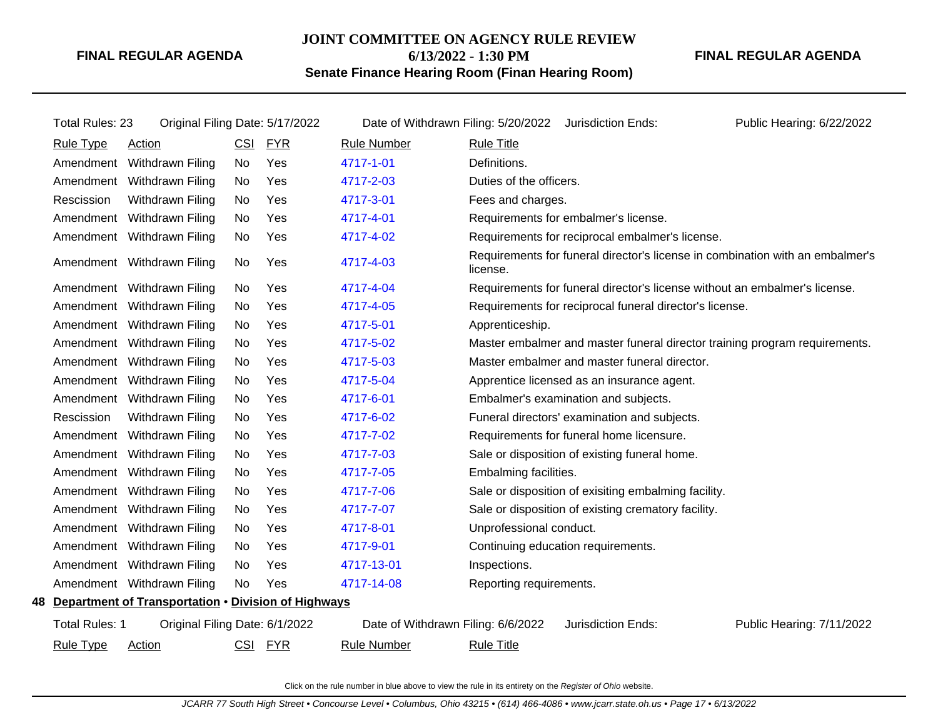## **JOINT COMMITTEE ON AGENCY RULE REVIEW 6/13/2022 - 1:30 PM**

**Senate Finance Hearing Room (Finan Hearing Room)**

**FINAL REGULAR AGENDA**

| Total Rules: 23                                        | Original Filing Date: 5/17/2022 |            |            | Date of Withdrawn Filing: 5/20/2022 |                                    | Jurisdiction Ends:                                                            | Public Hearing: 6/22/2022 |
|--------------------------------------------------------|---------------------------------|------------|------------|-------------------------------------|------------------------------------|-------------------------------------------------------------------------------|---------------------------|
| <b>Rule Type</b>                                       | Action                          | CSI        | <b>FYR</b> | <b>Rule Number</b>                  | <b>Rule Title</b>                  |                                                                               |                           |
|                                                        | Amendment Withdrawn Filing      | No         | Yes        | 4717-1-01                           | Definitions.                       |                                                                               |                           |
|                                                        | Amendment Withdrawn Filing      | <b>No</b>  | Yes        | 4717-2-03                           | Duties of the officers.            |                                                                               |                           |
| Rescission                                             | Withdrawn Filing                | <b>No</b>  | Yes        | 4717-3-01                           | Fees and charges.                  |                                                                               |                           |
|                                                        | Amendment Withdrawn Filing      | No         | Yes        | 4717-4-01                           |                                    | Requirements for embalmer's license.                                          |                           |
|                                                        | Amendment Withdrawn Filing      | No         | Yes        | 4717-4-02                           |                                    | Requirements for reciprocal embalmer's license.                               |                           |
|                                                        | Amendment Withdrawn Filing      | No         | Yes        | 4717-4-03                           | license.                           | Requirements for funeral director's license in combination with an embalmer's |                           |
|                                                        | Amendment Withdrawn Filing      | No         | Yes        | 4717-4-04                           |                                    | Requirements for funeral director's license without an embalmer's license.    |                           |
|                                                        | Amendment Withdrawn Filing      | <b>No</b>  | Yes        | 4717-4-05                           |                                    | Requirements for reciprocal funeral director's license.                       |                           |
|                                                        | Amendment Withdrawn Filing      | No         | Yes        | 4717-5-01                           | Apprenticeship.                    |                                                                               |                           |
|                                                        | Amendment Withdrawn Filing      | No.        | Yes        | 4717-5-02                           |                                    | Master embalmer and master funeral director training program requirements.    |                           |
|                                                        | Amendment Withdrawn Filing      | No         | Yes        | 4717-5-03                           |                                    | Master embalmer and master funeral director.                                  |                           |
|                                                        | Amendment Withdrawn Filing      | No         | Yes        | 4717-5-04                           |                                    | Apprentice licensed as an insurance agent.                                    |                           |
|                                                        | Amendment Withdrawn Filing      | No         | Yes        | 4717-6-01                           |                                    | Embalmer's examination and subjects.                                          |                           |
| Rescission                                             | Withdrawn Filing                | <b>No</b>  | Yes        | 4717-6-02                           |                                    | Funeral directors' examination and subjects.                                  |                           |
|                                                        | Amendment Withdrawn Filing      | <b>No</b>  | Yes        | 4717-7-02                           |                                    | Requirements for funeral home licensure.                                      |                           |
|                                                        | Amendment Withdrawn Filing      | <b>No</b>  | Yes        | 4717-7-03                           |                                    | Sale or disposition of existing funeral home.                                 |                           |
|                                                        | Amendment Withdrawn Filing      | No         | Yes        | 4717-7-05                           | Embalming facilities.              |                                                                               |                           |
|                                                        | Amendment Withdrawn Filing      | No         | Yes        | 4717-7-06                           |                                    | Sale or disposition of exisiting embalming facility.                          |                           |
|                                                        | Amendment Withdrawn Filing      | No         | Yes        | 4717-7-07                           |                                    | Sale or disposition of existing crematory facility.                           |                           |
|                                                        | Amendment Withdrawn Filing      | No         | Yes        | 4717-8-01                           | Unprofessional conduct.            |                                                                               |                           |
|                                                        | Amendment Withdrawn Filing      | No         | Yes        | 4717-9-01                           | Continuing education requirements. |                                                                               |                           |
|                                                        | Amendment Withdrawn Filing      | No         | Yes        | 4717-13-01                          | Inspections.                       |                                                                               |                           |
|                                                        | Amendment Withdrawn Filing      | No         | Yes        | 4717-14-08                          | Reporting requirements.            |                                                                               |                           |
| 48 Department of Transportation . Division of Highways |                                 |            |            |                                     |                                    |                                                                               |                           |
| Total Rules: 1                                         | Original Filing Date: 6/1/2022  |            |            | Date of Withdrawn Filing: 6/6/2022  |                                    | Jurisdiction Ends:                                                            | Public Hearing: 7/11/2022 |
| <b>Rule Type</b>                                       | <b>Action</b>                   | <u>CSI</u> | <u>FYR</u> | <b>Rule Number</b>                  | <b>Rule Title</b>                  |                                                                               |                           |